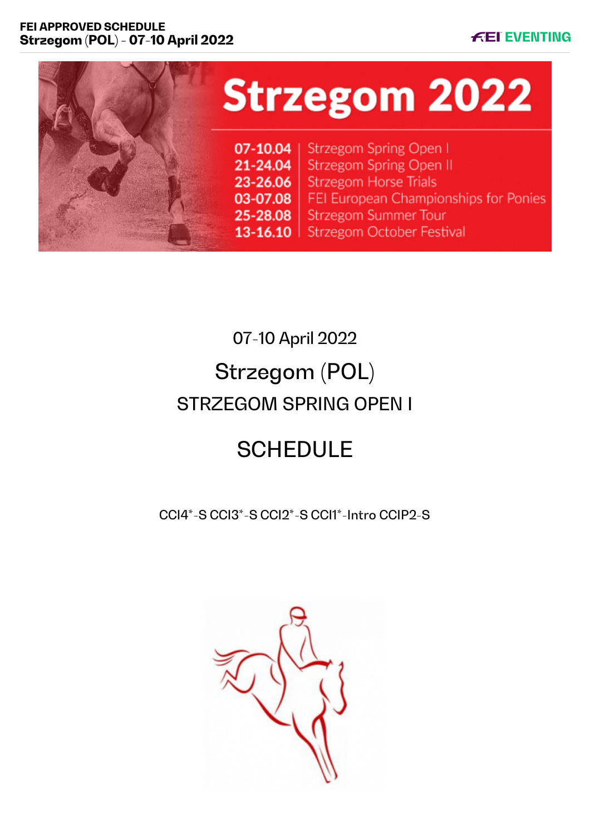## **FEI APPROVED SCHEDULE Strzegom (POL) - 07-10 April 2022**





# 07-10 April 2022 Strzegom (POL) STRZEGOM SPRING OPEN I

# **SCHEDULE**

CCI4\*-S CCI3\*-S CCI2\*-S CCI1\*-Intro CCIP2-S

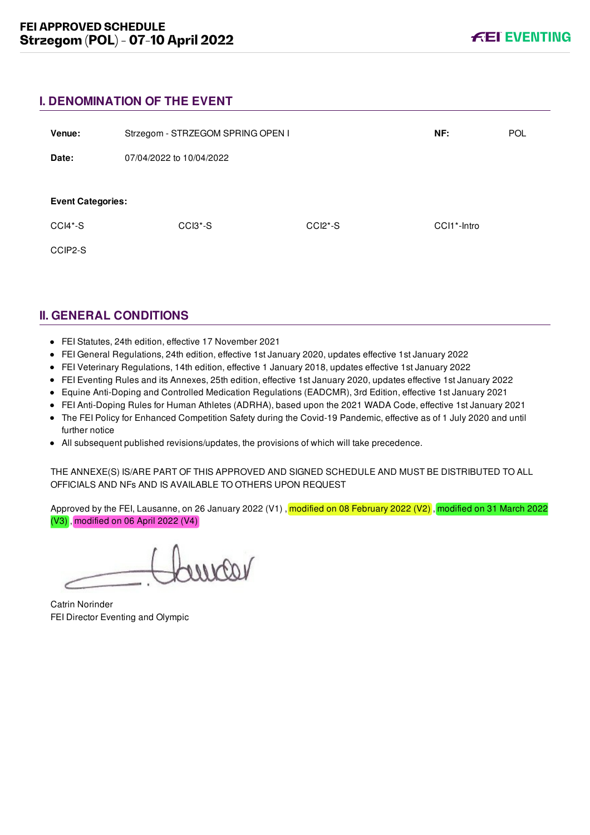## **I. DENOMINATION OF THE EVENT**

| Venue:                   | Strzegom - STRZEGOM SPRING OPEN I |           | NF:                      | <b>POL</b> |
|--------------------------|-----------------------------------|-----------|--------------------------|------------|
| Date:                    | 07/04/2022 to 10/04/2022          |           |                          |            |
| <b>Event Categories:</b> |                                   |           |                          |            |
| $CCI4*-S$                | $CCI3*-S$                         | $CCI2*-S$ | CCI1 <sup>*</sup> -Intro |            |
| CCIP2-S                  |                                   |           |                          |            |

## **II. GENERAL CONDITIONS**

- FEI Statutes, 24th edition, effective 17 November 2021
- FEI General Regulations, 24th edition, effective 1st January 2020, updates effective 1st January 2022
- FEI Veterinary Regulations, 14th edition, effective 1 January 2018, updates effective 1st January 2022
- FEI Eventing Rules and its Annexes, 25th edition, effective 1st January 2020, updates effective 1st January 2022
- Equine Anti-Doping and Controlled Medication Regulations (EADCMR), 3rd Edition, effective 1st January 2021
- FEI Anti-Doping Rules for Human Athletes (ADRHA), based upon the 2021 WADA Code, effective 1st January 2021
- The FEI Policy for Enhanced Competition Safety during the Covid-19 Pandemic, effective as of 1 July 2020 and until further notice
- All subsequent published revisions/updates, the provisions of which will take precedence.

THE ANNEXE(S) IS/ARE PART OF THIS APPROVED AND SIGNED SCHEDULE AND MUST BE DISTRIBUTED TO ALL OFFICIALS AND NFs AND IS AVAILABLE TO OTHERS UPON REQUEST

Approved by the FEI, Lausanne, on 26 January 2022 (V1), modified on 08 February 2022 (V2), modified on 31 March 2022 (V3) , modified on 06 April 2022 (V4)

varmer

Catrin Norinder FEI Director Eventing and Olympic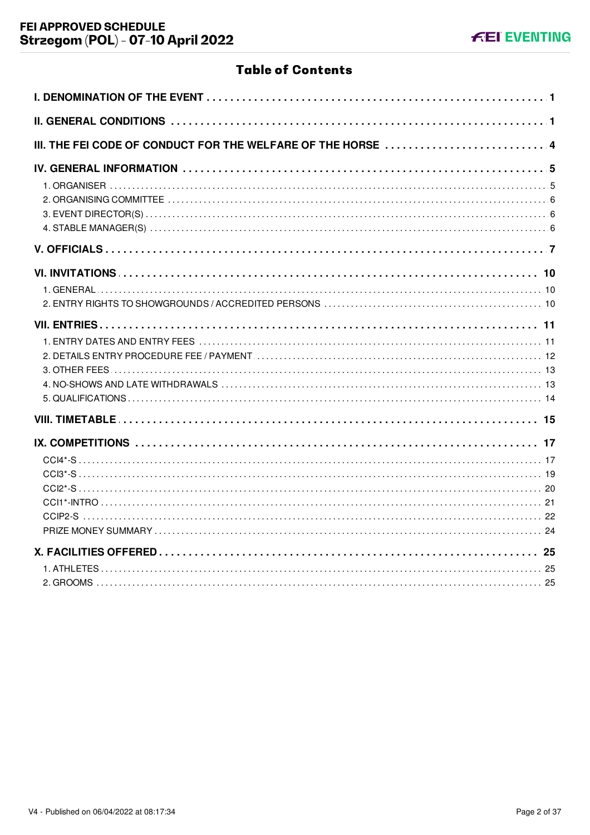## **Table of Contents**

| III. THE FEI CODE OF CONDUCT FOR THE WELFARE OF THE HORSE  4 |
|--------------------------------------------------------------|
|                                                              |
|                                                              |
|                                                              |
|                                                              |
|                                                              |
|                                                              |
|                                                              |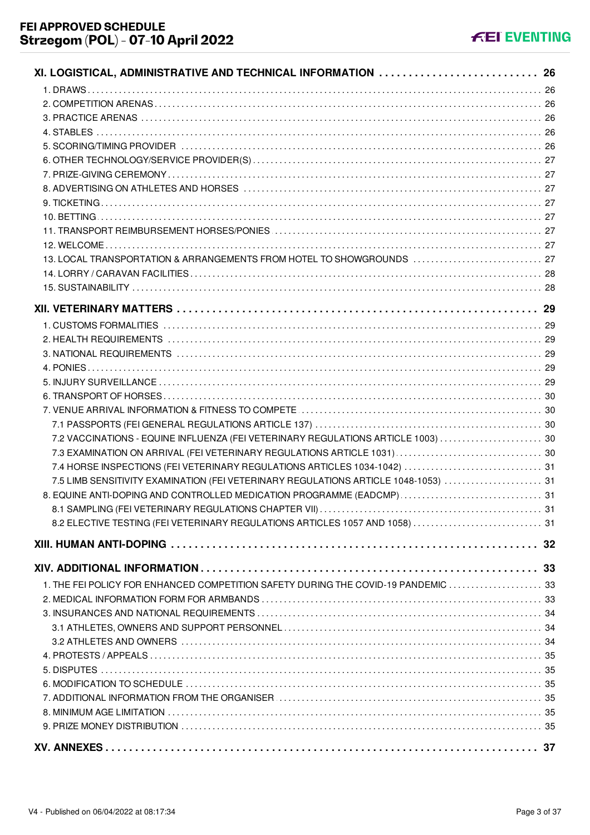| XI. LOGISTICAL, ADMINISTRATIVE AND TECHNICAL INFORMATION  26                        |  |
|-------------------------------------------------------------------------------------|--|
|                                                                                     |  |
|                                                                                     |  |
|                                                                                     |  |
|                                                                                     |  |
|                                                                                     |  |
|                                                                                     |  |
|                                                                                     |  |
|                                                                                     |  |
|                                                                                     |  |
|                                                                                     |  |
|                                                                                     |  |
|                                                                                     |  |
| 13. LOCAL TRANSPORTATION & ARRANGEMENTS FROM HOTEL TO SHOWGROUNDS  27               |  |
|                                                                                     |  |
|                                                                                     |  |
|                                                                                     |  |
|                                                                                     |  |
|                                                                                     |  |
|                                                                                     |  |
|                                                                                     |  |
|                                                                                     |  |
|                                                                                     |  |
|                                                                                     |  |
|                                                                                     |  |
|                                                                                     |  |
| 7.2 VACCINATIONS - EQUINE INFLUENZA (FEI VETERINARY REGULATIONS ARTICLE 1003)  30   |  |
| 7.4 HORSE INSPECTIONS (FEI VETERINARY REGULATIONS ARTICLES 1034-1042)  31           |  |
| 7.5 LIMB SENSITIVITY EXAMINATION (FEI VETERINARY REGULATIONS ARTICLE 1048-1053)  31 |  |
| 8. EQUINE ANTI-DOPING AND CONTROLLED MEDICATION PROGRAMME (EADCMP)  31              |  |
|                                                                                     |  |
| 8.2 ELECTIVE TESTING (FEI VETERINARY REGULATIONS ARTICLES 1057 AND 1058)  31        |  |
|                                                                                     |  |
|                                                                                     |  |
|                                                                                     |  |
|                                                                                     |  |
| 1. THE FEI POLICY FOR ENHANCED COMPETITION SAFETY DURING THE COVID-19 PANDEMIC  33  |  |
|                                                                                     |  |
|                                                                                     |  |
|                                                                                     |  |
|                                                                                     |  |
|                                                                                     |  |
|                                                                                     |  |
|                                                                                     |  |
|                                                                                     |  |
|                                                                                     |  |
|                                                                                     |  |
|                                                                                     |  |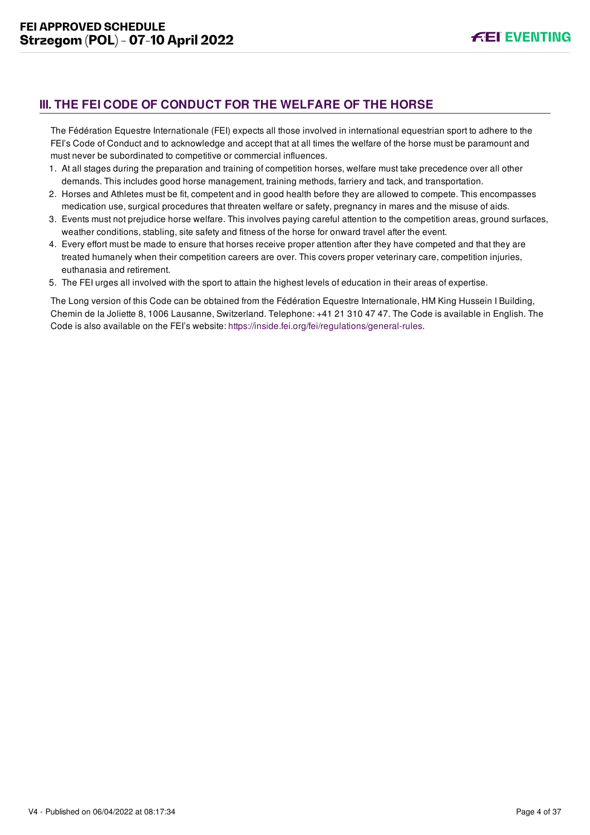## <span id="page-4-0"></span>**III. THE FEI CODE OF CONDUCT FOR THE WELFARE OF THE HORSE**

The Fédération Equestre Internationale (FEI) expects all those involved in international equestrian sport to adhere to the FEI's Code of Conduct and to acknowledge and accept that at all times the welfare of the horse must be paramount and must never be subordinated to competitive or commercial influences.

- 1. At all stages during the preparation and training of competition horses, welfare must take precedence over all other demands. This includes good horse management, training methods, farriery and tack, and transportation.
- 2. Horses and Athletes must be fit, competent and in good health before they are allowed to compete. This encompasses medication use, surgical procedures that threaten welfare or safety, pregnancy in mares and the misuse of aids.
- 3. Events must not prejudice horse welfare. This involves paying careful attention to the competition areas, ground surfaces, weather conditions, stabling, site safety and fitness of the horse for onward travel after the event.
- 4. Every effort must be made to ensure that horses receive proper attention after they have competed and that they are treated humanely when their competition careers are over. This covers proper veterinary care, competition injuries, euthanasia and retirement.
- 5. The FEI urges all involved with the sport to attain the highest levels of education in their areas of expertise.

The Long version of this Code can be obtained from the Fédération Equestre Internationale, HM King Hussein I Building, Chemin de la Joliette 8, 1006 Lausanne, Switzerland. Telephone: +41 21 310 47 47. The Code is available in English. The Code is also available on the FEI's website:<https://inside.fei.org/fei/regulations/general-rules>.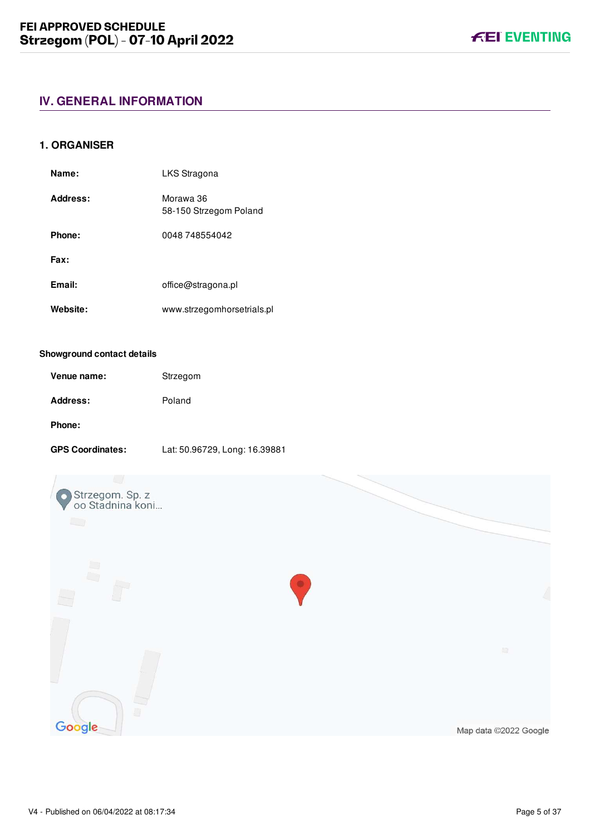## <span id="page-5-0"></span>**IV. GENERAL INFORMATION**

#### <span id="page-5-1"></span>**1. ORGANISER**

| Name:    | LKS Stragona                        |
|----------|-------------------------------------|
| Address: | Morawa 36<br>58-150 Strzegom Poland |
| Phone:   | 0048 748554042                      |
| Fax:     |                                     |
| Email:   | office@stragona.pl                  |
| Website: | www.strzegomhorsetrials.pl          |

#### **Showground contact details**

| Venue name: | Strzegom |
|-------------|----------|
| Address:    | Poland   |
| Phone:      |          |

#### **GPS Coordinates:** Lat: 50.96729, Long: 16.39881

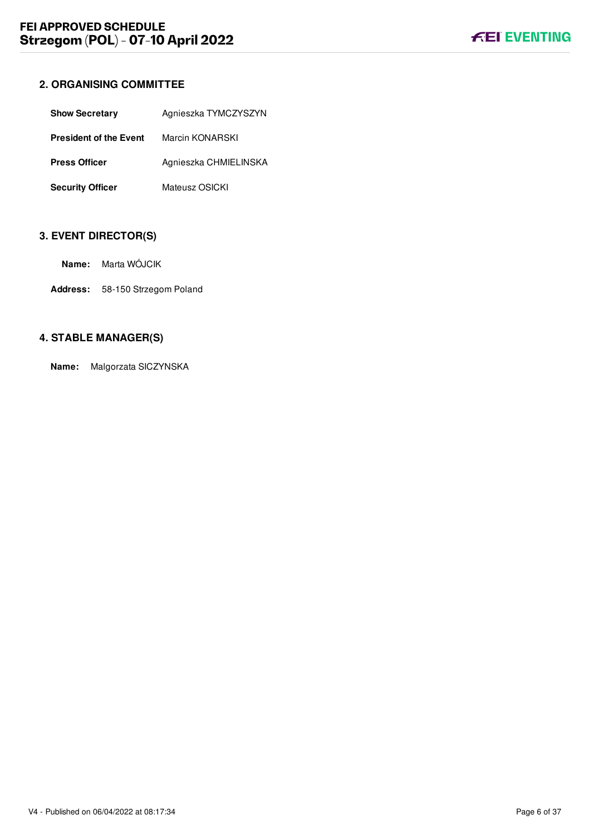## <span id="page-6-0"></span>**2. ORGANISING COMMITTEE**

| <b>Show Secretary</b>         | Agnieszka TYMCZYSZYN  |
|-------------------------------|-----------------------|
| <b>President of the Event</b> | Marcin KONARSKI       |
| <b>Press Officer</b>          | Agnieszka CHMIELINSKA |
| <b>Security Officer</b>       | Mateusz OSICKI        |

## <span id="page-6-1"></span>**3. EVENT DIRECTOR(S)**

**Address:** 58-150 Strzegom Poland

## <span id="page-6-2"></span>**4. STABLE MANAGER(S)**

**Name:** Malgorzata SICZYNSKA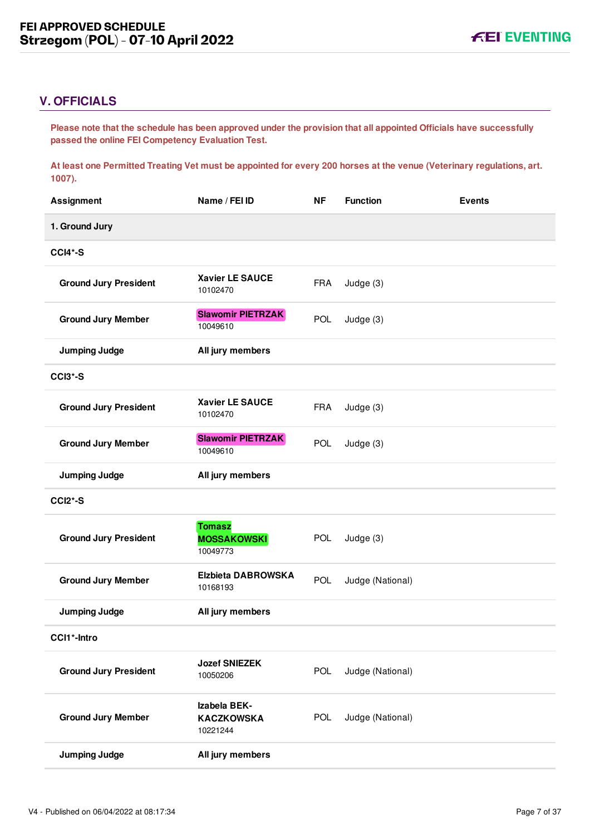## <span id="page-7-0"></span>**V. OFFICIALS**

**Please note that the schedule has been approved under the provision that all appointed Officials have successfully passed the online FEI Competency Evaluation Test.** 

**At least one Permitted Treating Vet must be appointed for every 200 horses at the venue (Veterinary regulations, art. 1007).**

| <b>Assignment</b>            | Name / FEI ID                                   | <b>NF</b>  | <b>Function</b>  | <b>Events</b> |
|------------------------------|-------------------------------------------------|------------|------------------|---------------|
| 1. Ground Jury               |                                                 |            |                  |               |
| CCI4*-S                      |                                                 |            |                  |               |
| <b>Ground Jury President</b> | <b>Xavier LE SAUCE</b><br>10102470              | <b>FRA</b> | Judge (3)        |               |
| <b>Ground Jury Member</b>    | <b>Slawomir PIETRZAK</b><br>10049610            | <b>POL</b> | Judge (3)        |               |
| <b>Jumping Judge</b>         | All jury members                                |            |                  |               |
| CCI3*-S                      |                                                 |            |                  |               |
| <b>Ground Jury President</b> | <b>Xavier LE SAUCE</b><br>10102470              | <b>FRA</b> | Judge (3)        |               |
| <b>Ground Jury Member</b>    | <b>Slawomir PIETRZAK</b><br>10049610            | POL        | Judge (3)        |               |
| <b>Jumping Judge</b>         | All jury members                                |            |                  |               |
| CCI2*-S                      |                                                 |            |                  |               |
| <b>Ground Jury President</b> | <b>Tomasz</b><br><b>MOSSAKOWSKI</b><br>10049773 | <b>POL</b> | Judge (3)        |               |
| <b>Ground Jury Member</b>    | <b>Elzbieta DABROWSKA</b><br>10168193           | <b>POL</b> | Judge (National) |               |
| <b>Jumping Judge</b>         | All jury members                                |            |                  |               |
| CCI1*-Intro                  |                                                 |            |                  |               |
| <b>Ground Jury President</b> | <b>Jozef SNIEZEK</b><br>10050206                | POL        | Judge (National) |               |
| <b>Ground Jury Member</b>    | Izabela BEK-<br><b>KACZKOWSKA</b><br>10221244   | POL        | Judge (National) |               |
| <b>Jumping Judge</b>         | All jury members                                |            |                  |               |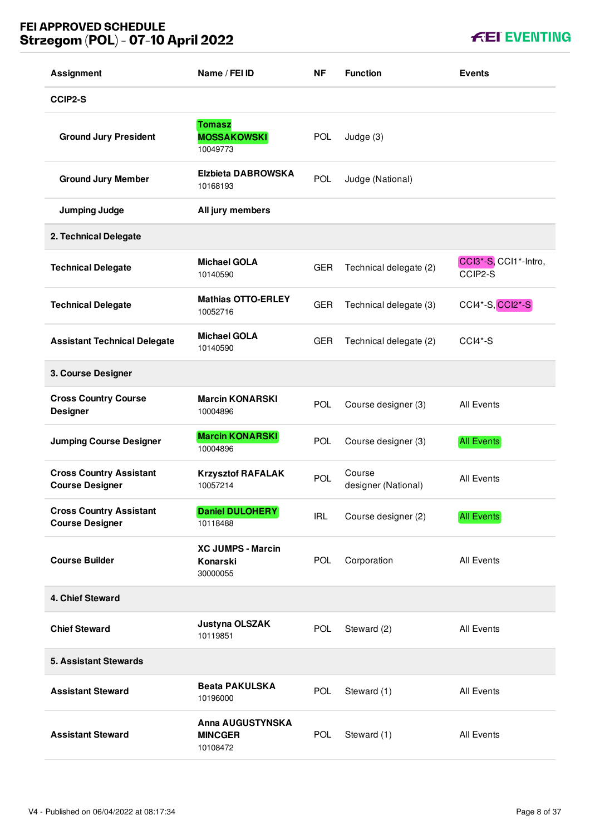## **FEI APPROVED SCHEDULE Strzegom (POL) - 07-10 April 2022**

**KEI EVENTING** 

| <b>Assignment</b>                                        | Name / FEI ID                                         | ΝF         | <b>Function</b>               | <b>Events</b>                    |
|----------------------------------------------------------|-------------------------------------------------------|------------|-------------------------------|----------------------------------|
| CCIP2-S                                                  |                                                       |            |                               |                                  |
| <b>Ground Jury President</b>                             | <b>Tomasz</b><br><b>MOSSAKOWSKI</b><br>10049773       | <b>POL</b> | Judge (3)                     |                                  |
| <b>Ground Jury Member</b>                                | <b>Elzbieta DABROWSKA</b><br>10168193                 | <b>POL</b> | Judge (National)              |                                  |
| <b>Jumping Judge</b>                                     | All jury members                                      |            |                               |                                  |
| 2. Technical Delegate                                    |                                                       |            |                               |                                  |
| <b>Technical Delegate</b>                                | <b>Michael GOLA</b><br>10140590                       | <b>GER</b> | Technical delegate (2)        | CCl3*-S, CCl1*-Intro,<br>CCIP2-S |
| <b>Technical Delegate</b>                                | <b>Mathias OTTO-ERLEY</b><br>10052716                 | <b>GER</b> | Technical delegate (3)        | CCI4*-S, CCI2*-S                 |
| <b>Assistant Technical Delegate</b>                      | <b>Michael GOLA</b><br>10140590                       | <b>GER</b> | Technical delegate (2)        | $CCI4*-S$                        |
| 3. Course Designer                                       |                                                       |            |                               |                                  |
| <b>Cross Country Course</b><br><b>Designer</b>           | <b>Marcin KONARSKI</b><br>10004896                    | <b>POL</b> | Course designer (3)           | <b>All Events</b>                |
| <b>Jumping Course Designer</b>                           | <b>Marcin KONARSKI</b><br>10004896                    | POL        | Course designer (3)           | <b>All Events</b>                |
| <b>Cross Country Assistant</b><br><b>Course Designer</b> | <b>Krzysztof RAFALAK</b><br>10057214                  | <b>POL</b> | Course<br>designer (National) | <b>All Events</b>                |
| <b>Cross Country Assistant</b><br><b>Course Designer</b> | <b>Daniel DULOHERY</b><br>10118488                    | <b>IRL</b> | Course designer (2)           | <b>All Events</b>                |
| <b>Course Builder</b>                                    | <b>XC JUMPS - Marcin</b><br>Konarski<br>30000055      | <b>POL</b> | Corporation                   | All Events                       |
| 4. Chief Steward                                         |                                                       |            |                               |                                  |
| <b>Chief Steward</b>                                     | Justyna OLSZAK<br>10119851                            | POL        | Steward (2)                   | All Events                       |
| <b>5. Assistant Stewards</b>                             |                                                       |            |                               |                                  |
| <b>Assistant Steward</b>                                 | <b>Beata PAKULSKA</b><br>10196000                     | <b>POL</b> | Steward (1)                   | <b>All Events</b>                |
| <b>Assistant Steward</b>                                 | <b>Anna AUGUSTYNSKA</b><br><b>MINCGER</b><br>10108472 | POL        | Steward (1)                   | All Events                       |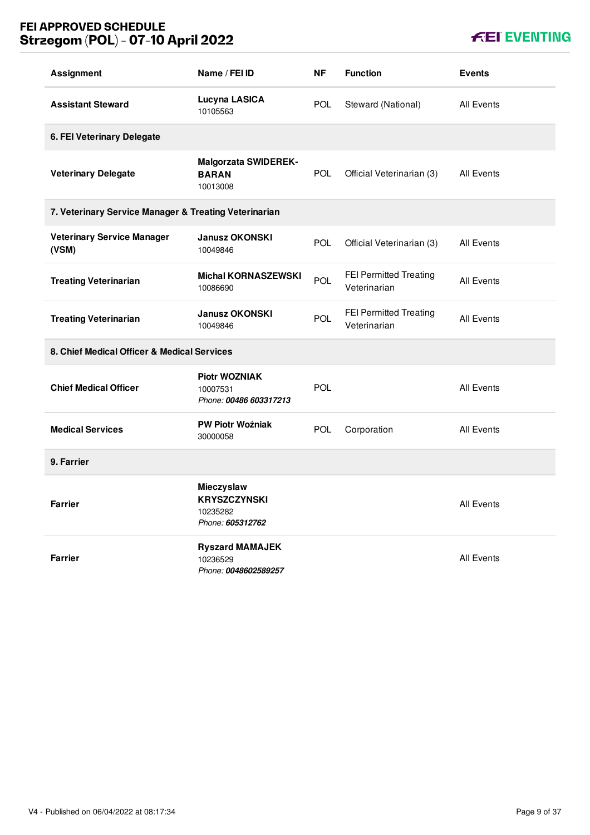## **FEI APPROVED SCHEDULE Strzegom (POL) - 07-10 April 2022**

## **KEI EVENTING**

| <b>Assignment</b>                                     | Name / FEI ID                                                     | <b>NF</b>  | <b>Function</b>                               | <b>Events</b>     |
|-------------------------------------------------------|-------------------------------------------------------------------|------------|-----------------------------------------------|-------------------|
| <b>Assistant Steward</b>                              | Lucyna LASICA<br>10105563                                         | POL.       | Steward (National)                            | <b>All Events</b> |
| 6. FEI Veterinary Delegate                            |                                                                   |            |                                               |                   |
| <b>Veterinary Delegate</b>                            | <b>Malgorzata SWIDEREK-</b><br><b>BARAN</b><br>10013008           | <b>POL</b> | Official Veterinarian (3)                     | <b>All Events</b> |
| 7. Veterinary Service Manager & Treating Veterinarian |                                                                   |            |                                               |                   |
| <b>Veterinary Service Manager</b><br>(VSM)            | <b>Janusz OKONSKI</b><br>10049846                                 | <b>POL</b> | Official Veterinarian (3)                     | <b>All Events</b> |
| <b>Treating Veterinarian</b>                          | <b>Michal KORNASZEWSKI</b><br>10086690                            | POL        | <b>FEI Permitted Treating</b><br>Veterinarian | <b>All Events</b> |
| <b>Treating Veterinarian</b>                          | <b>Janusz OKONSKI</b><br>10049846                                 | POL        | FEI Permitted Treating<br>Veterinarian        | <b>All Events</b> |
| 8. Chief Medical Officer & Medical Services           |                                                                   |            |                                               |                   |
| <b>Chief Medical Officer</b>                          | <b>Piotr WOZNIAK</b><br>10007531<br>Phone: 00486 603317213        | POL        |                                               | <b>All Events</b> |
| <b>Medical Services</b>                               | <b>PW Piotr Woźniak</b><br>30000058                               | <b>POL</b> | Corporation                                   | All Events        |
| 9. Farrier                                            |                                                                   |            |                                               |                   |
| <b>Farrier</b>                                        | Mieczyslaw<br><b>KRYSZCZYNSKI</b><br>10235282<br>Phone: 605312762 |            |                                               | All Events        |
| <b>Farrier</b>                                        | <b>Ryszard MAMAJEK</b><br>10236529<br>Phone: 0048602589257        |            |                                               | <b>All Events</b> |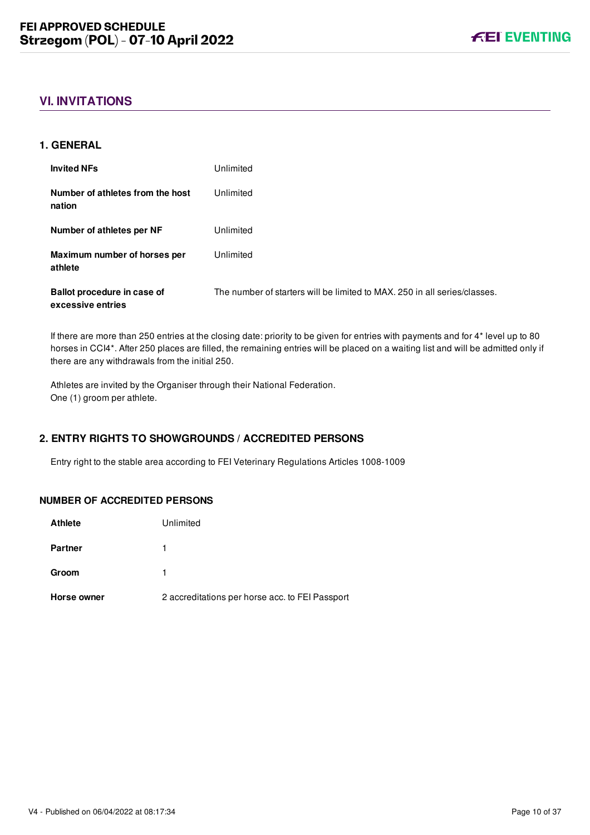## <span id="page-10-0"></span>**VI. INVITATIONS**

#### <span id="page-10-1"></span>**1. GENERAL**

| <b>Invited NFs</b>                               | Unlimited                                                                 |
|--------------------------------------------------|---------------------------------------------------------------------------|
| Number of athletes from the host<br>nation       | Unlimited                                                                 |
| Number of athletes per NF                        | Unlimited                                                                 |
| Maximum number of horses per<br>athlete          | Unlimited                                                                 |
| Ballot procedure in case of<br>excessive entries | The number of starters will be limited to MAX, 250 in all series/classes. |

If there are more than 250 entries at the closing date: priority to be given for entries with payments and for 4\* level up to 80 horses in CCI4\*. After 250 places are filled, the remaining entries will be placed on a waiting list and will be admitted only if there are any withdrawals from the initial 250.

Athletes are invited by the Organiser through their National Federation. One (1) groom per athlete.

## <span id="page-10-2"></span>**2. ENTRY RIGHTS TO SHOWGROUNDS / ACCREDITED PERSONS**

Entry right to the stable area according to FEI Veterinary Regulations Articles 1008-1009

## **NUMBER OF ACCREDITED PERSONS**

| <b>Athlete</b> | Unlimited                                       |
|----------------|-------------------------------------------------|
| <b>Partner</b> |                                                 |
| Groom          |                                                 |
| Horse owner    | 2 accreditations per horse acc. to FEI Passport |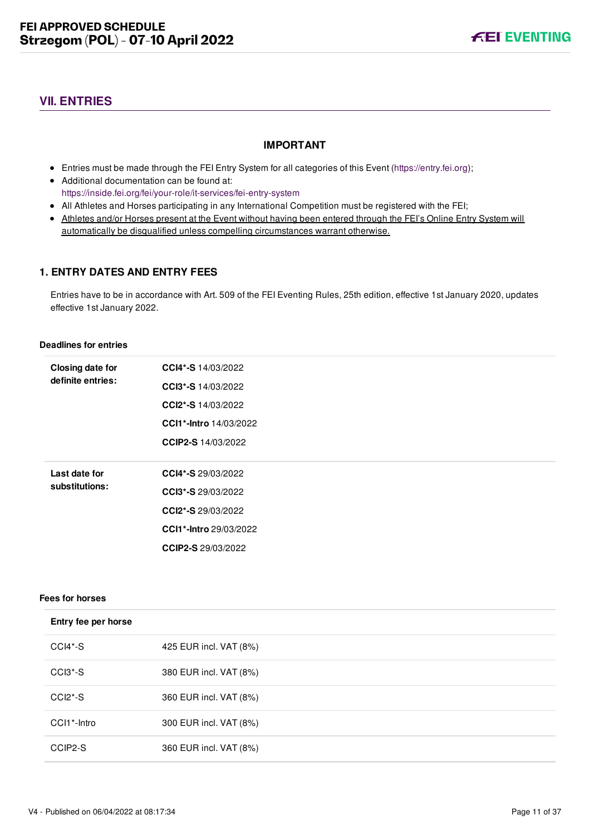## <span id="page-11-0"></span>**VII. ENTRIES**

### **IMPORTANT**

- Entries must be made through the FEI Entry System for all categories of this Event ([https://entry.fei.org\)](https://entry.fei.org);
- Additional documentation can be found at: <https://inside.fei.org/fei/your-role/it-services/fei-entry-system>
- All Athletes and Horses participating in any International Competition must be registered with the FEI;
- Athletes and/or Horses present at the Event without having been entered through the FEI's Online Entry System will automatically be disqualified unless compelling circumstances warrant otherwise.

## <span id="page-11-1"></span>**1. ENTRY DATES AND ENTRY FEES**

Entries have to be in accordance with Art. 509 of the FEI Eventing Rules, 25th edition, effective 1st January 2020, updates effective 1st January 2022.

#### **Deadlines for entries**

| Closing date for<br>definite entries: | CCI4*-S 14/03/2022            |
|---------------------------------------|-------------------------------|
|                                       | CCI3*-S 14/03/2022            |
|                                       | CCI2*-S 14/03/2022            |
|                                       | <b>CCI1*-Intro 14/03/2022</b> |
|                                       | <b>CCIP2-S</b> 14/03/2022     |
|                                       |                               |
| Last date for<br>substitutions:       | <b>CCI4*-S</b> 29/03/2022     |
|                                       | <b>CCl3*-S</b> 29/03/2022     |
|                                       |                               |
|                                       | CCI2*-S 29/03/2022            |
|                                       | CCI1*-Intro 29/03/2022        |
|                                       | CCIP2-S 29/03/2022            |

## **Fees for horses**

| ees for norses       |                        |  |
|----------------------|------------------------|--|
| Entry fee per horse  |                        |  |
| CCI4*-S              | 425 EUR incl. VAT (8%) |  |
| CCI3 <sup>*</sup> -S | 380 EUR incl. VAT (8%) |  |
| $CCI2*-S$            | 360 EUR incl. VAT (8%) |  |
| CCI1*-Intro          | 300 EUR incl. VAT (8%) |  |
| CCIP2-S              | 360 EUR incl. VAT (8%) |  |
|                      |                        |  |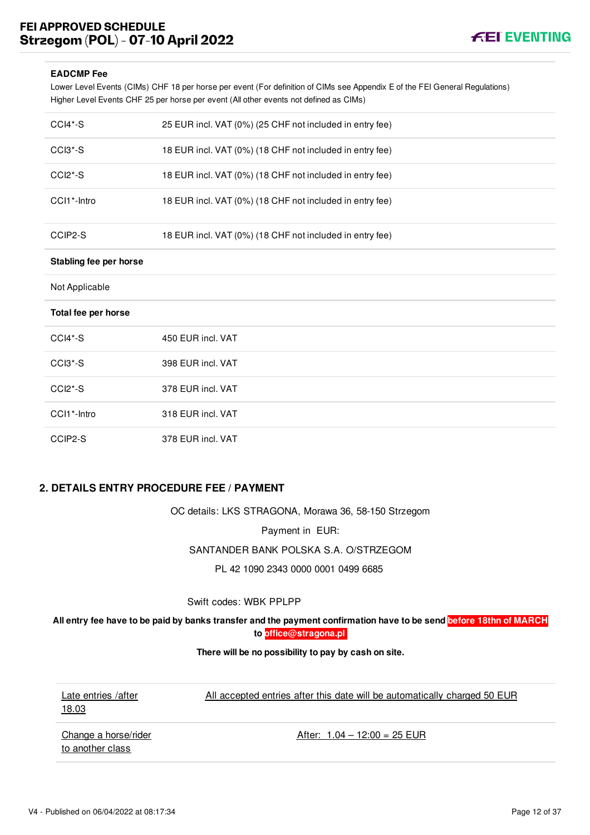## **FEI APPROVED SCHEDULE Strzegom (POL) - 07-10 April 2022**



#### **EADCMP Fee**

Lower Level Events (CIMs) CHF 18 per horse per event (For definition of CIMs see Appendix E of the FEI General Regulations) Higher Level Events CHF 25 per horse per event (All other events not defined as CIMs)

| CCI4*-S                | 25 EUR incl. VAT (0%) (25 CHF not included in entry fee) |
|------------------------|----------------------------------------------------------|
| CCI3*-S                | 18 EUR incl. VAT (0%) (18 CHF not included in entry fee) |
| CCI <sub>2</sub> *-S   | 18 EUR incl. VAT (0%) (18 CHF not included in entry fee) |
| CCI1*-Intro            | 18 EUR incl. VAT (0%) (18 CHF not included in entry fee) |
| CCIP2-S                | 18 EUR incl. VAT (0%) (18 CHF not included in entry fee) |
| Stabling fee per horse |                                                          |
| Not Applicable         |                                                          |
| Total fee per horse    |                                                          |
| $CCI4*-S$              | 450 EUR incl. VAT                                        |
| $CCI3*-S$              | 398 EUR incl. VAT                                        |
| CCI <sub>2</sub> *-S   | 378 EUR incl. VAT                                        |
| CCI1*-Intro            | 318 EUR incl. VAT                                        |
| CCIP2-S                | 378 EUR incl. VAT                                        |

#### <span id="page-12-0"></span>**2. DETAILS ENTRY PROCEDURE FEE / PAYMENT**

OC details: LKS STRAGONA, Morawa 36, 58-150 Strzegom

Payment in EUR:

SANTANDER BANK POLSKA S.A. O/STRZEGOM

PL 42 1090 2343 0000 0001 0499 6685

Swift codes: WBK PPLPP

**All entry fee have to be paid by banks transfer and the payment confirmation have to be send before 18thn of MARCH to [office@stragona.pl](mailto:office@stragona.pl)**

**There will be no possibility to pay by cash on site.**

Late entries /after 18.03

All accepted entries after this date will be automatically charged 50 EUR

Change a horse/rider to another class

After:  $1.04 - 12:00 = 25$  EUR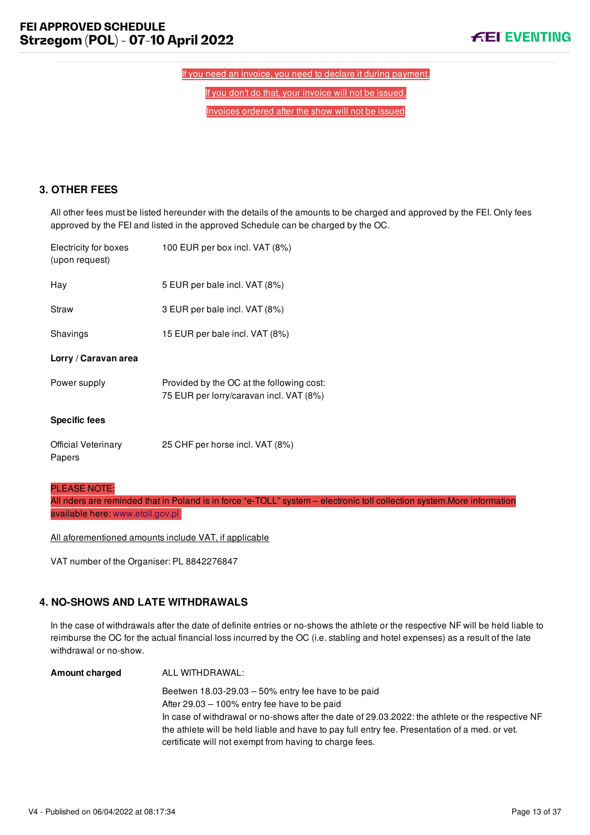If you need an invoice, you need to declare it during payment.

If you don't do that, your invoice will not be issued.

Invoices ordered after the show will not be issued

## <span id="page-13-0"></span>**3. OTHER FEES**

All other fees must be listed hereunder with the details of the amounts to be charged and approved by the FEI. Only fees approved by the FEI and listed in the approved Schedule can be charged by the OC.

| Electricity for boxes<br>(upon request) | 100 EUR per box incl. VAT (8%)                                                       |
|-----------------------------------------|--------------------------------------------------------------------------------------|
| Hay                                     | 5 EUR per bale incl. VAT (8%)                                                        |
| Straw                                   | 3 EUR per bale incl. VAT (8%)                                                        |
| Shavings                                | 15 EUR per bale incl. VAT (8%)                                                       |
| Lorry / Caravan area                    |                                                                                      |
| Power supply                            | Provided by the OC at the following cost:<br>75 EUR per lorry/caravan incl. VAT (8%) |
| <b>Specific fees</b>                    |                                                                                      |
| <b>Official Veterinary</b><br>Papers    | 25 CHF per horse incl. VAT (8%)                                                      |

#### PLEASE NOTE:

All riders are reminded that in Poland is in force "e-TOLL" system – electronic toll collection system.More information available here: [www.etoll.gov.pl](file:///home/deployer/api-schedules/production/releases/42/symfony/public/www.etoll.gov.pl)

All aforementioned amounts include VAT, if applicable

VAT number of the Organiser: PL 8842276847

## <span id="page-13-1"></span>**4. NO-SHOWS AND LATE WITHDRAWALS**

In the case of withdrawals after the date of definite entries or no-shows the athlete or the respective NF will be held liable to reimburse the OC for the actual financial loss incurred by the OC (i.e. stabling and hotel expenses) as a result of the late withdrawal or no-show.

| Amount charged | ALL WITHDRAWAL:                                                                                  |
|----------------|--------------------------------------------------------------------------------------------------|
|                | Beetwen $18.03 - 29.03 - 50\%$ entry fee have to be paid                                         |
|                | After $29.03 - 100\%$ entry fee have to be paid                                                  |
|                | In case of withdrawal or no-shows after the date of 29.03.2022: the athlete or the respective NF |
|                | the athlete will be held liable and have to pay full entry fee. Presentation of a med. or vet.   |
|                | certificate will not exempt from having to charge fees.                                          |
|                |                                                                                                  |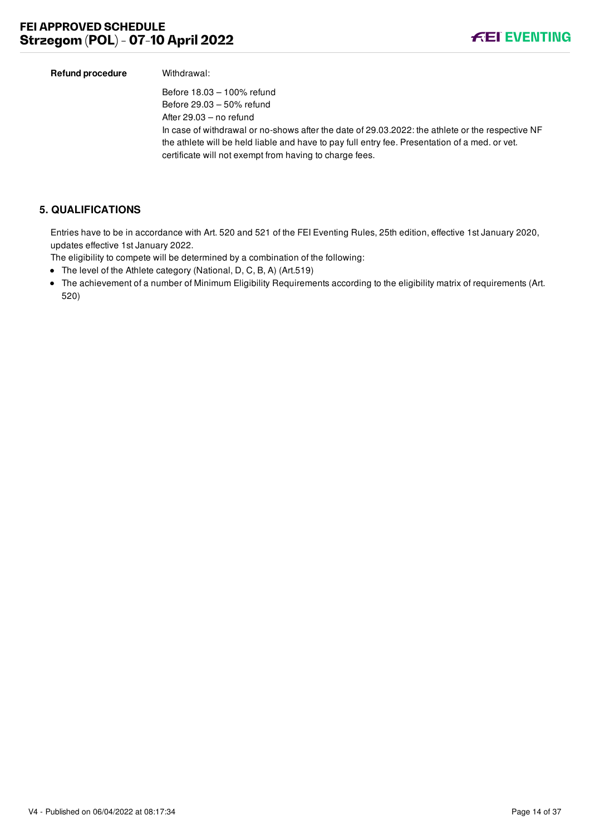

| Refund procedure | Withdrawal:                                                                                      |
|------------------|--------------------------------------------------------------------------------------------------|
|                  | Before 18.03 - 100% refund                                                                       |
|                  | Before 29.03 - 50% refund                                                                        |
|                  | After $29.03 -$ no refund                                                                        |
|                  | In case of withdrawal or no-shows after the date of 29.03.2022: the athlete or the respective NF |
|                  | the athlete will be held liable and have to pay full entry fee. Presentation of a med. or vet.   |
|                  | certificate will not exempt from having to charge fees.                                          |

## <span id="page-14-0"></span>**5. QUALIFICATIONS**

Entries have to be in accordance with Art. 520 and 521 of the FEI Eventing Rules, 25th edition, effective 1st January 2020, updates effective 1st January 2022.

The eligibility to compete will be determined by a combination of the following:

- The level of the Athlete category (National, D, C, B, A) (Art.519)
- The achievement of a number of Minimum Eligibility Requirements according to the eligibility matrix of requirements (Art. 520)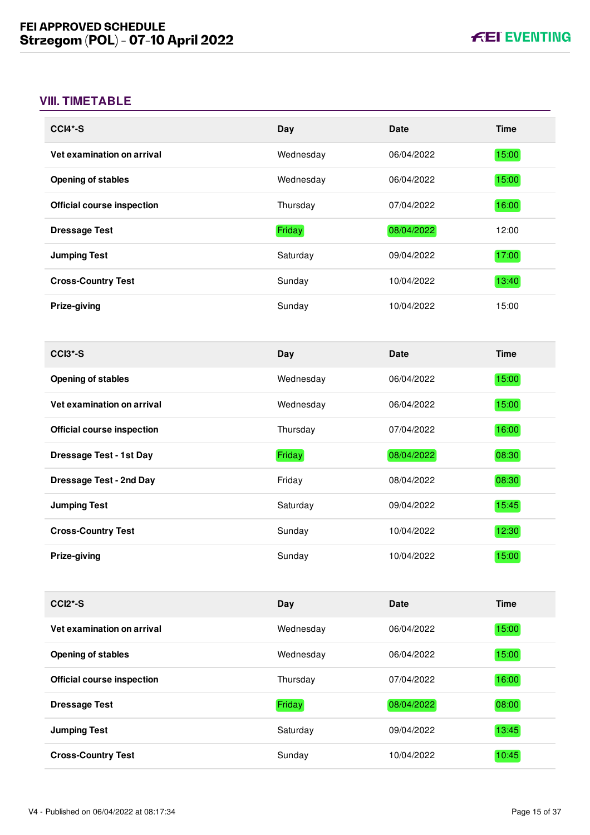## <span id="page-15-0"></span>**VIII. TIMETABLE**

| CCI4*-S                           | Day       | <b>Date</b> | <b>Time</b> |
|-----------------------------------|-----------|-------------|-------------|
| Vet examination on arrival        | Wednesday | 06/04/2022  | 15:00       |
| <b>Opening of stables</b>         | Wednesday | 06/04/2022  | 15:00       |
| <b>Official course inspection</b> | Thursday  | 07/04/2022  | 16:00       |
| <b>Dressage Test</b>              | Friday    | 08/04/2022  | 12:00       |
| <b>Jumping Test</b>               | Saturday  | 09/04/2022  | 17:00       |
| <b>Cross-Country Test</b>         | Sunday    | 10/04/2022  | 13:40       |
| Prize-giving                      | Sunday    | 10/04/2022  | 15:00       |
|                                   |           |             |             |
| CCI3*-S                           | Day       | <b>Date</b> | <b>Time</b> |
| <b>Opening of stables</b>         | Wednesday | 06/04/2022  | 15:00       |
| Vet examination on arrival        | Wednesday | 06/04/2022  | 15:00       |
| <b>Official course inspection</b> | Thursday  | 07/04/2022  | 16:00       |
|                                   |           |             |             |
| <b>Dressage Test - 1st Day</b>    | Friday    | 08/04/2022  | 08:30       |
| <b>Dressage Test - 2nd Day</b>    | Friday    | 08/04/2022  | 08:30       |
| <b>Jumping Test</b>               | Saturday  | 09/04/2022  | 15:45       |
| <b>Cross-Country Test</b>         | Sunday    | 10/04/2022  | 12:30       |
| Prize-giving                      | Sunday    | 10/04/2022  | 15:00       |
|                                   |           |             |             |
| <b>CCI2*-S</b>                    | Day       | <b>Date</b> | <b>Time</b> |
| Vet examination on arrival        | Wednesday | 06/04/2022  | 15:00       |
| <b>Opening of stables</b>         | Wednesday | 06/04/2022  | 15:00       |
| <b>Official course inspection</b> | Thursday  | 07/04/2022  | 16:00       |
| <b>Dressage Test</b>              | Friday    | 08/04/2022  | 08:00       |
| <b>Jumping Test</b>               | Saturday  | 09/04/2022  | 13:45       |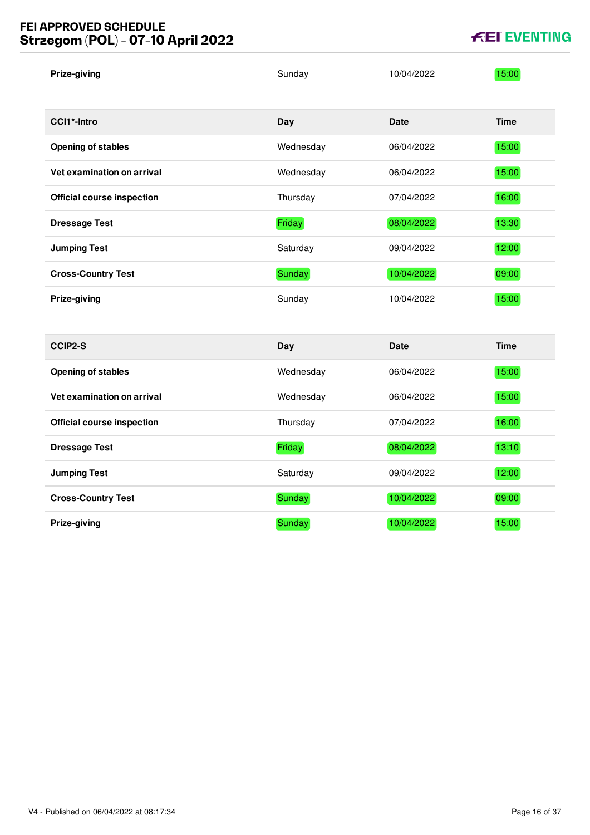## **FEI APPROVED SCHEDULE Strzegom (POL) - 07-10 April 2022**

| Prize-giving                      | Sunday    | 10/04/2022  | 15:00       |
|-----------------------------------|-----------|-------------|-------------|
| CCI1*-Intro                       | Day       | <b>Date</b> | <b>Time</b> |
| <b>Opening of stables</b>         | Wednesday | 06/04/2022  | 15:00       |
| Vet examination on arrival        | Wednesday | 06/04/2022  | 15:00       |
| <b>Official course inspection</b> | Thursday  | 07/04/2022  | 16:00       |
| <b>Dressage Test</b>              | Friday    | 08/04/2022  | 13:30       |
| <b>Jumping Test</b>               | Saturday  | 09/04/2022  | 12:00       |
| <b>Cross-Country Test</b>         | Sunday    | 10/04/2022  | 09:00       |
| Prize-giving                      | Sunday    | 10/04/2022  | 15:00       |
| <b>CCIP2-S</b>                    | Day       | <b>Date</b> | <b>Time</b> |
| <b>Opening of stables</b>         | Wednesday | 06/04/2022  | 15:00       |
| Vet examination on arrival        | Wednesday | 06/04/2022  | 15:00       |
| <b>Official course inspection</b> | Thursday  | 07/04/2022  | 16:00       |
| <b>Dressage Test</b>              | Friday    | 08/04/2022  | 13:10       |
| <b>Jumping Test</b>               | Saturday  | 09/04/2022  | 12:00       |
| <b>Cross-Country Test</b>         | Sunday    | 10/04/2022  | 09:00       |
| Prize-giving                      | Sunday    | 10/04/2022  | 15:00       |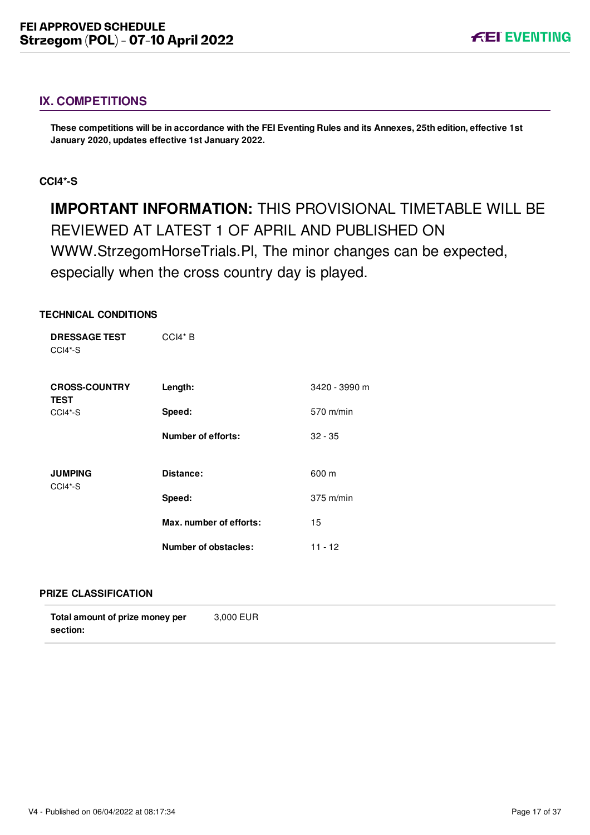## <span id="page-17-0"></span>**IX. COMPETITIONS**

**These competitions will be in accordance with the FEI Eventing Rules and its Annexes, 25th edition, effective 1st January 2020, updates effective 1st January 2022.**

## <span id="page-17-1"></span>**CCI4\*-S**

**IMPORTANT INFORMATION:** THIS PROVISIONAL TIMETABLE WILL BE REVIEWED AT LATEST 1 OF APRIL AND PUBLISHED ON WWW.StrzegomHorseTrials.Pl, The minor changes can be expected, especially when the cross country day is played.

## **TECHNICAL CONDITIONS**

| <b>DRESSAGE TEST</b><br>CCI4*-S | $CCH* B$                  |               |
|---------------------------------|---------------------------|---------------|
| <b>CROSS-COUNTRY</b>            | Length:                   | 3420 - 3990 m |
| <b>TEST</b><br>CCI4*-S          | Speed:                    | 570 m/min     |
|                                 | <b>Number of efforts:</b> | $32 - 35$     |
| <b>JUMPING</b><br>CCI4*-S       | Distance:                 | 600 m         |
|                                 | Speed:                    | $375$ m/min   |
|                                 | Max. number of efforts:   | 15            |
|                                 | Number of obstacles:      | $11 - 12$     |

#### **PRIZE CLASSIFICATION**

| Total amount of prize money per | 3.000 EUR |
|---------------------------------|-----------|
| section:                        |           |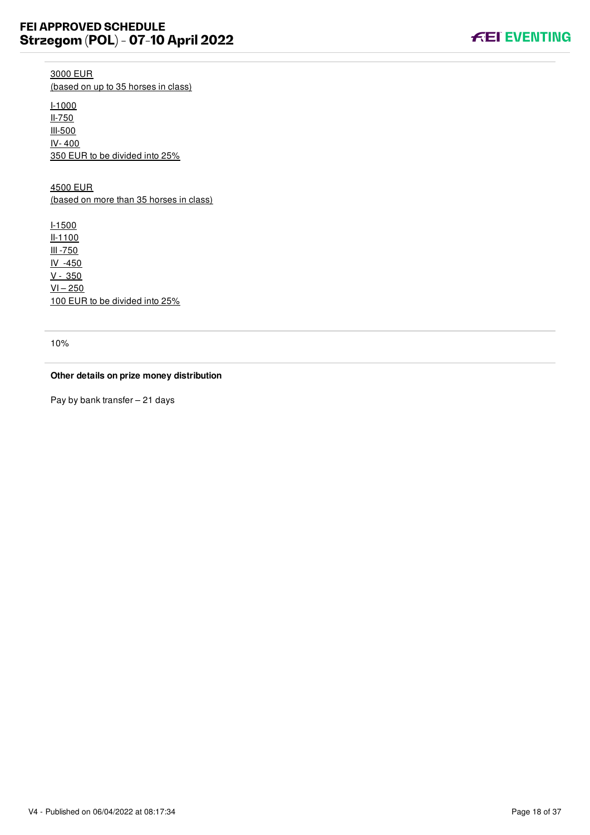

3000 EUR (based on up to 35 horses in class)

I-1000 II-750 III-500 IV- 400 350 EUR to be divided into 25%

4500 EUR (based on more than 35 horses in class)

I-1500 II-1100 III -750 IV -450 V - 350  $VI - 250$ 100 EUR to be divided into 25%

10%

#### **Other details on prize money distribution**

Pay by bank transfer – 21 days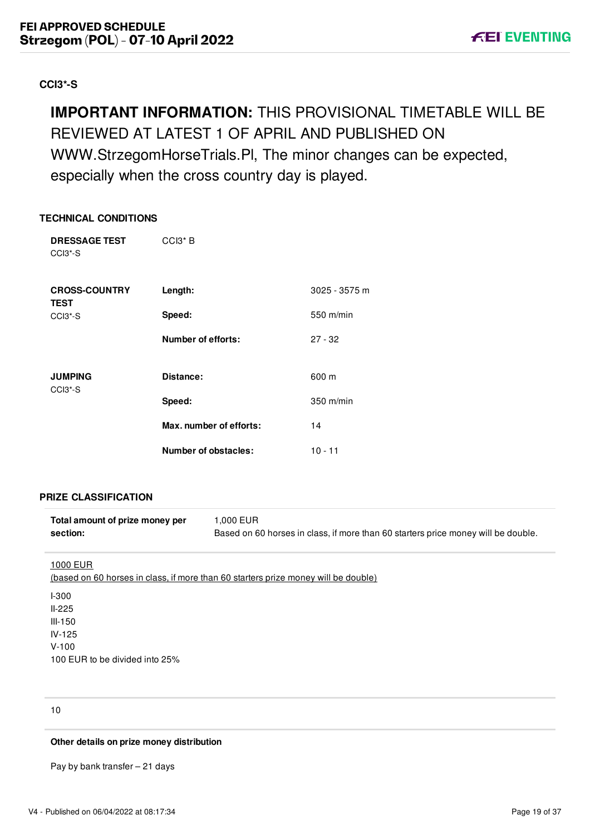## <span id="page-19-0"></span>**CCI3\*-S**

## **IMPORTANT INFORMATION:** THIS PROVISIONAL TIMETABLE WILL BE REVIEWED AT LATEST 1 OF APRIL AND PUBLISHED ON WWW.StrzegomHorseTrials.Pl, The minor changes can be expected, especially when the cross country day is played.

## **TECHNICAL CONDITIONS**

| <b>DRESSAGE TEST</b><br>CCI <sub>3</sub> <sup>*</sup> -S | $CCI3*B$                    |               |
|----------------------------------------------------------|-----------------------------|---------------|
| <b>CROSS-COUNTRY</b><br><b>TEST</b>                      | Length:                     | 3025 - 3575 m |
| CCI <sub>3</sub> <sup>*</sup> -S                         | Speed:                      | 550 m/min     |
|                                                          | <b>Number of efforts:</b>   | $27 - 32$     |
| <b>JUMPING</b><br>CCI <sub>3</sub> <sup>*</sup> -S       | Distance:                   | 600 m         |
|                                                          | Speed:                      | $350$ m/min   |
|                                                          | Max. number of efforts:     | 14            |
|                                                          | <b>Number of obstacles:</b> | $10 - 11$     |

## **PRIZE CLASSIFICATION**

| Total amount of prize money per | 1.000 EUR                                                                         |
|---------------------------------|-----------------------------------------------------------------------------------|
| section:                        | Based on 60 horses in class, if more than 60 starters price money will be double. |

#### 1000 EUR

| (based on 60 horses in class, if more than 60 starters prize money will be double) |
|------------------------------------------------------------------------------------|
| <b>I-300</b>                                                                       |
| $II-225$                                                                           |
| III-150                                                                            |
| $IV-125$                                                                           |
| $V-100$                                                                            |
| 100 EUR to be divided into 25%                                                     |

10

#### **Other details on prize money distribution**

Pay by bank transfer – 21 days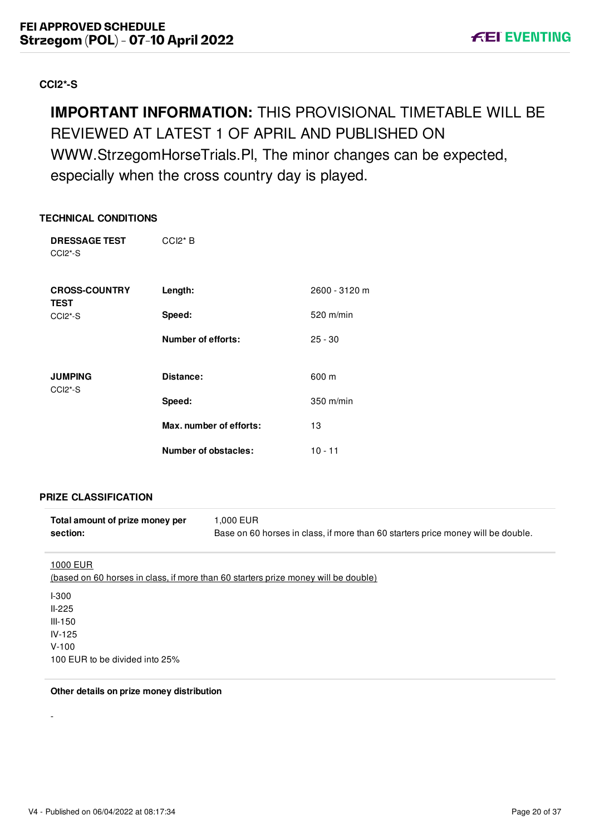## <span id="page-20-0"></span>**CCI2\*-S**

## **IMPORTANT INFORMATION:** THIS PROVISIONAL TIMETABLE WILL BE REVIEWED AT LATEST 1 OF APRIL AND PUBLISHED ON WWW.StrzegomHorseTrials.Pl, The minor changes can be expected, especially when the cross country day is played.

## **TECHNICAL CONDITIONS**

| <b>DRESSAGE TEST</b><br>CCI <sub>2</sub> <sup>*</sup> -S | $CCl2*B$                    |               |
|----------------------------------------------------------|-----------------------------|---------------|
| <b>CROSS-COUNTRY</b><br><b>TEST</b>                      | Length:                     | 2600 - 3120 m |
| CCI <sub>2</sub> <sup>*</sup> -S                         | Speed:                      | 520 m/min     |
|                                                          | <b>Number of efforts:</b>   | $25 - 30$     |
| <b>JUMPING</b><br>CCI <sub>2</sub> <sup>*</sup> -S       | Distance:                   | 600 m         |
|                                                          | Speed:                      | $350$ m/min   |
|                                                          | Max. number of efforts:     | 13            |
|                                                          | <b>Number of obstacles:</b> | $10 - 11$     |

## **PRIZE CLASSIFICATION**

| Total amount of prize money per | 1.000 EUR                                                                        |
|---------------------------------|----------------------------------------------------------------------------------|
| section:                        | Base on 60 horses in class, if more than 60 starters price money will be double. |

#### 1000 EUR

-

| (based on 60 horses in class, if more than 60 starters prize money will be double) |
|------------------------------------------------------------------------------------|
| <b>I-300</b>                                                                       |
| $II-225$                                                                           |
| III-150                                                                            |
| $IV-125$                                                                           |
| $V-100$                                                                            |
| 100 EUR to be divided into 25%                                                     |

#### **Other details on prize money distribution**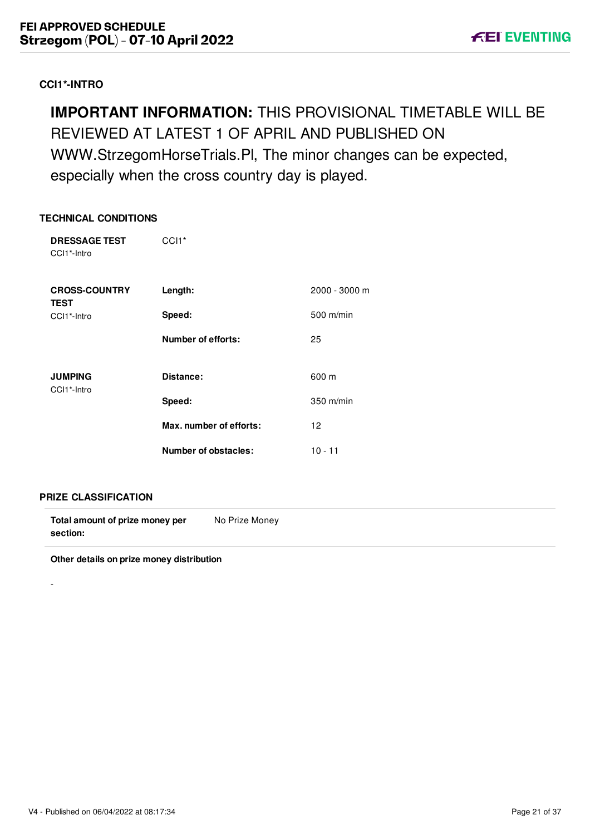## <span id="page-21-0"></span>**CCI1\*-INTRO**

## **IMPORTANT INFORMATION:** THIS PROVISIONAL TIMETABLE WILL BE REVIEWED AT LATEST 1 OF APRIL AND PUBLISHED ON WWW.StrzegomHorseTrials.Pl, The minor changes can be expected, especially when the cross country day is played.

## **TECHNICAL CONDITIONS**

| <b>DRESSAGE TEST</b><br>CCI1*-Intro | CCI <sub>1</sub> *        |               |
|-------------------------------------|---------------------------|---------------|
| <b>CROSS-COUNTRY</b><br><b>TEST</b> | Length:                   | 2000 - 3000 m |
| CCI1*-Intro                         | Speed:                    | 500 m/min     |
|                                     | <b>Number of efforts:</b> | 25            |
| <b>JUMPING</b><br>CCI1*-Intro       | Distance:                 | 600 m         |
|                                     | Speed:                    | 350 m/min     |
|                                     | Max. number of efforts:   | 12            |
|                                     | Number of obstacles:      | $10 - 11$     |

## **PRIZE CLASSIFICATION**

-

| Total amount of prize money per | No Prize Money |  |
|---------------------------------|----------------|--|
| section:                        |                |  |

**Other details on prize money distribution**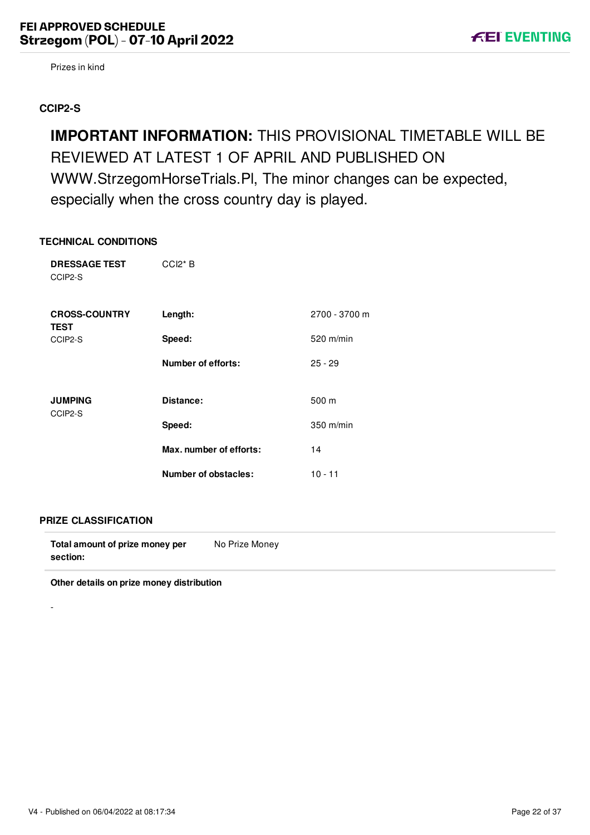Prizes in kind

## <span id="page-22-0"></span>**CCIP2-S**

**IMPORTANT INFORMATION:** THIS PROVISIONAL TIMETABLE WILL BE REVIEWED AT LATEST 1 OF APRIL AND PUBLISHED ON WWW.StrzegomHorseTrials.Pl, The minor changes can be expected, especially when the cross country day is played.

#### **TECHNICAL CONDITIONS**

| <b>DRESSAGE TEST</b><br>CCIP2-S     | $CCl2*B$                |               |
|-------------------------------------|-------------------------|---------------|
| <b>CROSS-COUNTRY</b><br><b>TEST</b> | Length:                 | 2700 - 3700 m |
| CCIP2-S                             | Speed:                  | 520 m/min     |
|                                     | Number of efforts:      | $25 - 29$     |
|                                     |                         |               |
| <b>JUMPING</b><br>CCIP2-S           | Distance:               | 500 m         |
|                                     | Speed:                  | 350 m/min     |
|                                     | Max. number of efforts: | 14            |
|                                     | Number of obstacles:    | $10 - 11$     |

#### **PRIZE CLASSIFICATION**

-

**Total amount of prize money per section:** No Prize Money

**Other details on prize money distribution**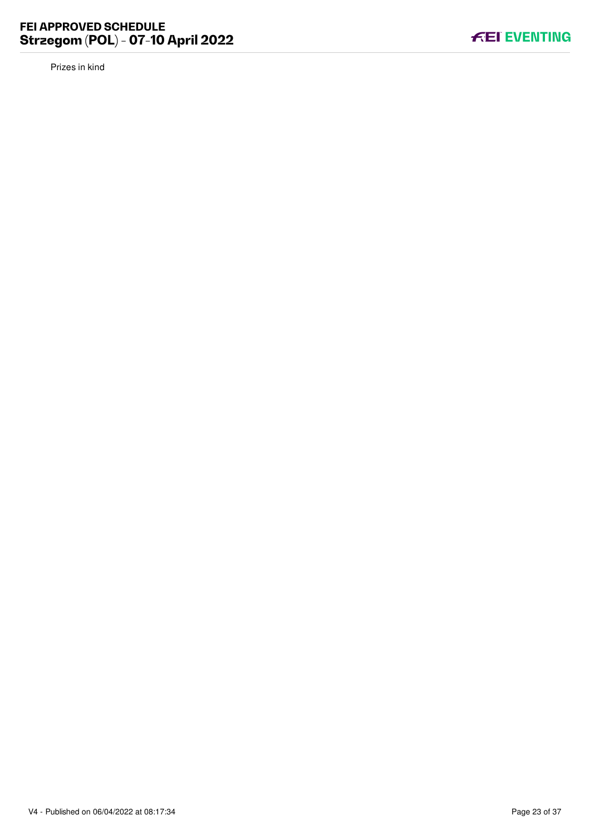Prizes in kind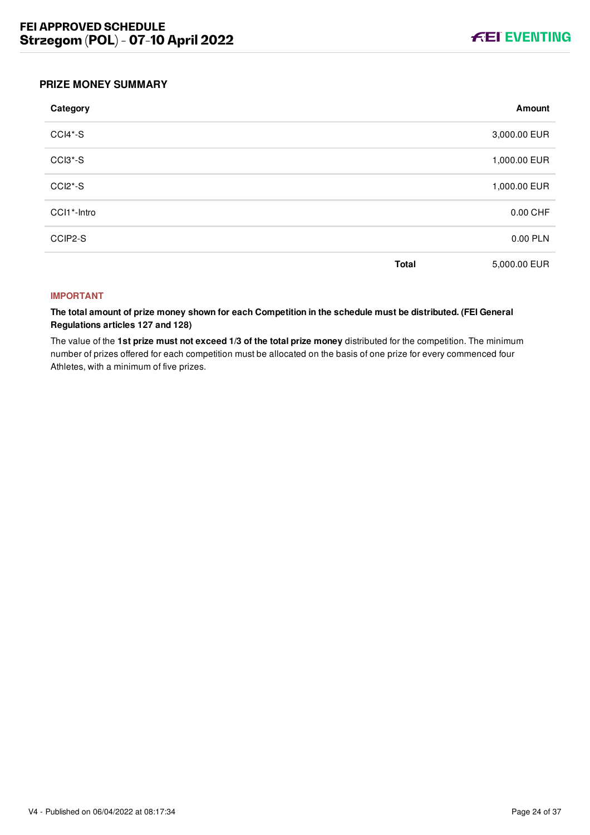

## <span id="page-24-0"></span>**PRIZE MONEY SUMMARY**

| Category                         |              | Amount       |
|----------------------------------|--------------|--------------|
| CCI4*-S                          |              | 3,000.00 EUR |
| CCI3*-S                          |              | 1,000.00 EUR |
| CCI <sub>2</sub> <sup>*</sup> -S |              | 1,000.00 EUR |
| CCI1*-Intro                      |              | 0.00 CHF     |
| CCIP2-S                          |              | 0.00 PLN     |
|                                  | <b>Total</b> | 5,000.00 EUR |

#### **IMPORTANT**

**The total amount of prize money shown for each Competition in the schedule must be distributed. (FEI General Regulations articles 127 and 128)**

The value of the **1st prize must not exceed 1/3 of the total prize money** distributed for the competition. The minimum number of prizes offered for each competition must be allocated on the basis of one prize for every commenced four Athletes, with a minimum of five prizes.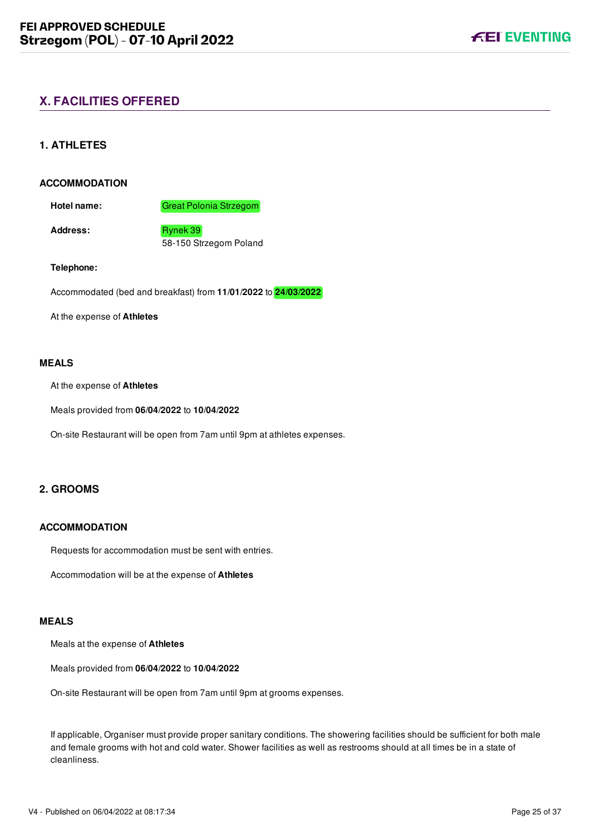## <span id="page-25-0"></span>**X. FACILITIES OFFERED**

## <span id="page-25-1"></span>**1. ATHLETES**

#### **ACCOMMODATION**

**Hotel name:** Great Polonia Strzegom

Address: Rynek 39

58-150 Strzegom Poland

#### **Telephone:**

Accommodated (bed and breakfast) from **11/01/2022** to **24/03/2022**

At the expense of **Athletes**

#### **MEALS**

At the expense of **Athletes**

Meals provided from **06/04/2022** to **10/04/2022**

On-site Restaurant will be open from 7am until 9pm at athletes expenses.

## <span id="page-25-2"></span>**2. GROOMS**

#### **ACCOMMODATION**

Requests for accommodation must be sent with entries.

Accommodation will be at the expense of **Athletes**

#### **MEALS**

Meals at the expense of **Athletes**

Meals provided from **06/04/2022** to **10/04/2022**

On-site Restaurant will be open from 7am until 9pm at grooms expenses.

If applicable, Organiser must provide proper sanitary conditions. The showering facilities should be sufficient for both male and female grooms with hot and cold water. Shower facilities as well as restrooms should at all times be in a state of cleanliness.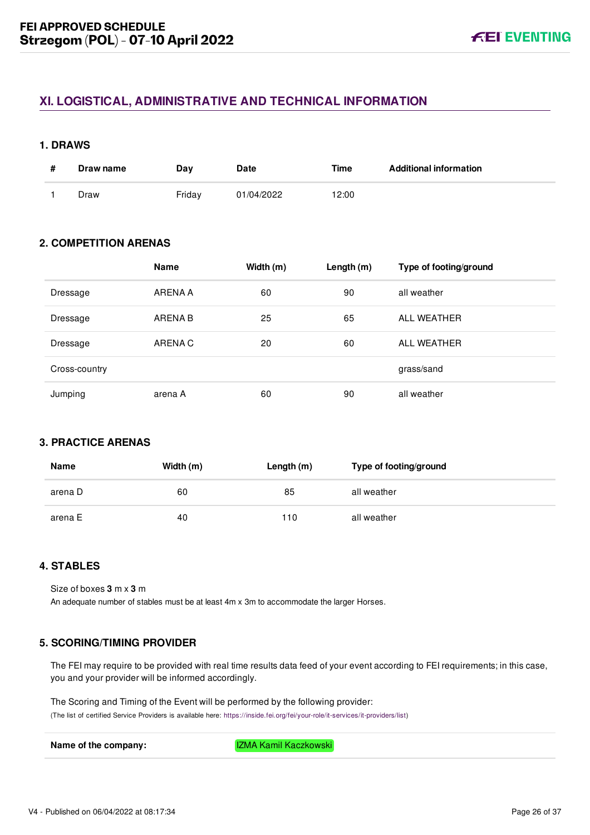## <span id="page-26-0"></span>**XI. LOGISTICAL, ADMINISTRATIVE AND TECHNICAL INFORMATION**

#### <span id="page-26-1"></span>**1. DRAWS**

| Draw name | Dav    | Date       | Time  | <b>Additional information</b> |
|-----------|--------|------------|-------|-------------------------------|
| Draw      | Friday | 01/04/2022 | 12:00 |                               |

## <span id="page-26-2"></span>**2. COMPETITION ARENAS**

|               | <b>Name</b> | Width (m) | Length $(m)$ | Type of footing/ground |
|---------------|-------------|-----------|--------------|------------------------|
| Dressage      | ARENA A     | 60        | 90           | all weather            |
| Dressage      | ARENA B     | 25        | 65           | ALL WEATHER            |
| Dressage      | ARENA C     | 20        | 60           | ALL WEATHER            |
| Cross-country |             |           |              | grass/sand             |
| Jumping       | arena A     | 60        | 90           | all weather            |

## <span id="page-26-3"></span>**3. PRACTICE ARENAS**

| <b>Name</b> | Width (m) | Length $(m)$ | Type of footing/ground |
|-------------|-----------|--------------|------------------------|
| arena D     | 60        | 85           | all weather            |
| arena E     | 40        | 110          | all weather            |

## <span id="page-26-4"></span>**4. STABLES**

Size of boxes **3** m x **3** m An adequate number of stables must be at least 4m x 3m to accommodate the larger Horses.

## <span id="page-26-5"></span>**5. SCORING/TIMING PROVIDER**

The FEI may require to be provided with real time results data feed of your event according to FEI requirements; in this case, you and your provider will be informed accordingly.

The Scoring and Timing of the Event will be performed by the following provider:

(The list of certified Service Providers is available here: [https://inside.fei.org/fei/your-role/it-services/it-providers/list\)](https://inside.fei.org/fei/your-role/it-services/it-providers/list)

**Name of the company:** IZMA Kamil Kaczkowski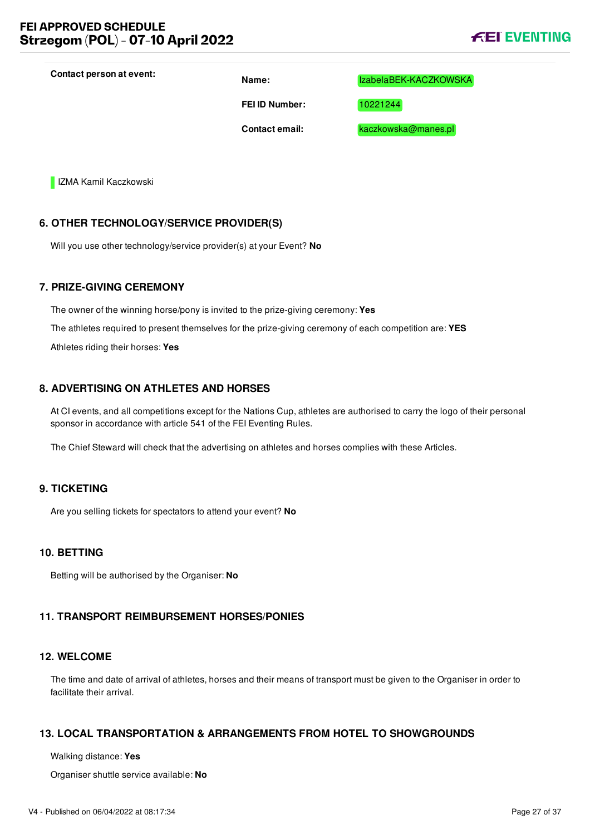**Contact person at event: Name:** IzabelaBEK-KACZKOWSKA

**FEI ID Number:** 10221244

**Contact email:** kaczkowska@manes.pl

**IZMA Kamil Kaczkowski** 

## <span id="page-27-0"></span>**6. OTHER TECHNOLOGY/SERVICE PROVIDER(S)**

Will you use other technology/service provider(s) at your Event? **No**

#### <span id="page-27-1"></span>**7. PRIZE-GIVING CEREMONY**

The owner of the winning horse/pony is invited to the prize-giving ceremony: **Yes** The athletes required to present themselves for the prize-giving ceremony of each competition are: **YES** Athletes riding their horses: **Yes**

## <span id="page-27-2"></span>**8. ADVERTISING ON ATHLETES AND HORSES**

At CI events, and all competitions except for the Nations Cup, athletes are authorised to carry the logo of their personal sponsor in accordance with article 541 of the FEI Eventing Rules.

The Chief Steward will check that the advertising on athletes and horses complies with these Articles.

## <span id="page-27-3"></span>**9. TICKETING**

Are you selling tickets for spectators to attend your event? **No**

## <span id="page-27-4"></span>**10. BETTING**

Betting will be authorised by the Organiser: **No**

## <span id="page-27-5"></span>**11. TRANSPORT REIMBURSEMENT HORSES/PONIES**

## <span id="page-27-6"></span>**12. WELCOME**

The time and date of arrival of athletes, horses and their means of transport must be given to the Organiser in order to facilitate their arrival.

## <span id="page-27-7"></span>**13. LOCAL TRANSPORTATION & ARRANGEMENTS FROM HOTEL TO SHOWGROUNDS**

Walking distance: **Yes**

Organiser shuttle service available: **No**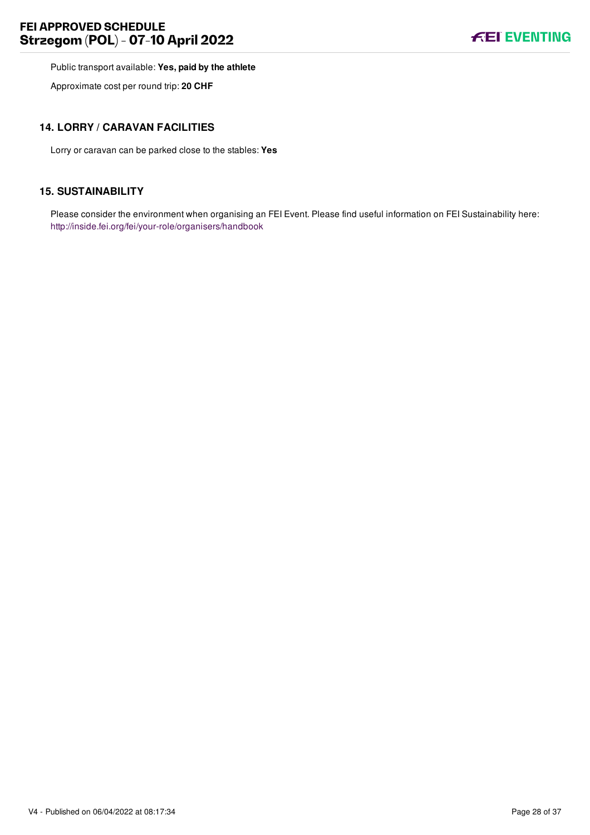## **FEI APPROVED SCHEDULE Strzegom (POL) - 07-10 April 2022**



Public transport available: **Yes, paid by the athlete**

Approximate cost per round trip: **20 CHF**

## <span id="page-28-0"></span>**14. LORRY / CARAVAN FACILITIES**

Lorry or caravan can be parked close to the stables: **Yes**

## <span id="page-28-1"></span>**15. SUSTAINABILITY**

Please consider the environment when organising an FEI Event. Please find useful information on FEI Sustainability here: <http://inside.fei.org/fei/your-role/organisers/handbook>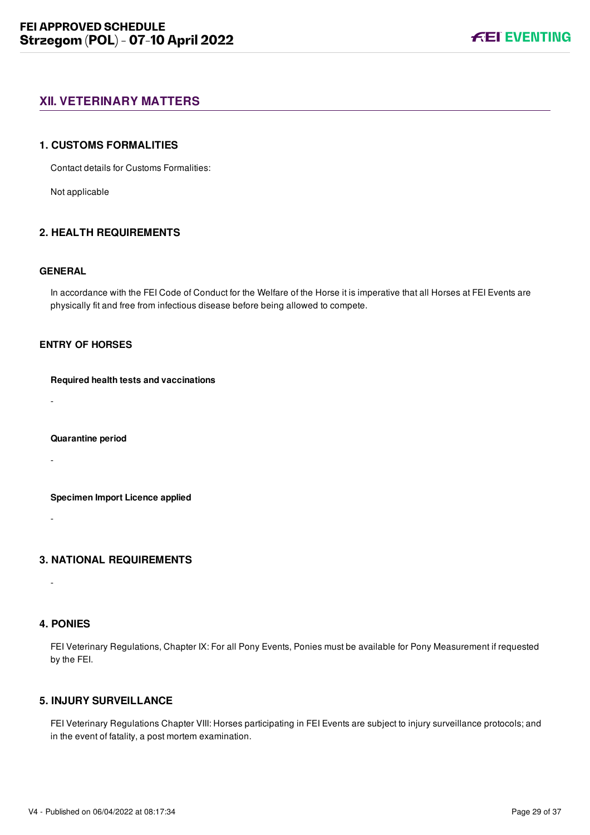## <span id="page-29-0"></span>**XII. VETERINARY MATTERS**

#### <span id="page-29-1"></span>**1. CUSTOMS FORMALITIES**

Contact details for Customs Formalities:

Not applicable

## <span id="page-29-2"></span>**2. HEALTH REQUIREMENTS**

#### **GENERAL**

In accordance with the FEI Code of Conduct for the Welfare of the Horse it is imperative that all Horses at FEI Events are physically fit and free from infectious disease before being allowed to compete.

## **ENTRY OF HORSES**

#### **Required health tests and vaccinations**

-

#### **Quarantine period**

-

#### **Specimen Import Licence applied**

-

## <span id="page-29-3"></span>**3. NATIONAL REQUIREMENTS**

#### <span id="page-29-4"></span>**4. PONIES**

-

FEI Veterinary Regulations, Chapter IX: For all Pony Events, Ponies must be available for Pony Measurement if requested by the FEI.

## <span id="page-29-5"></span>**5. INJURY SURVEILLANCE**

FEI Veterinary Regulations Chapter VIII: Horses participating in FEI Events are subject to injury surveillance protocols; and in the event of fatality, a post mortem examination.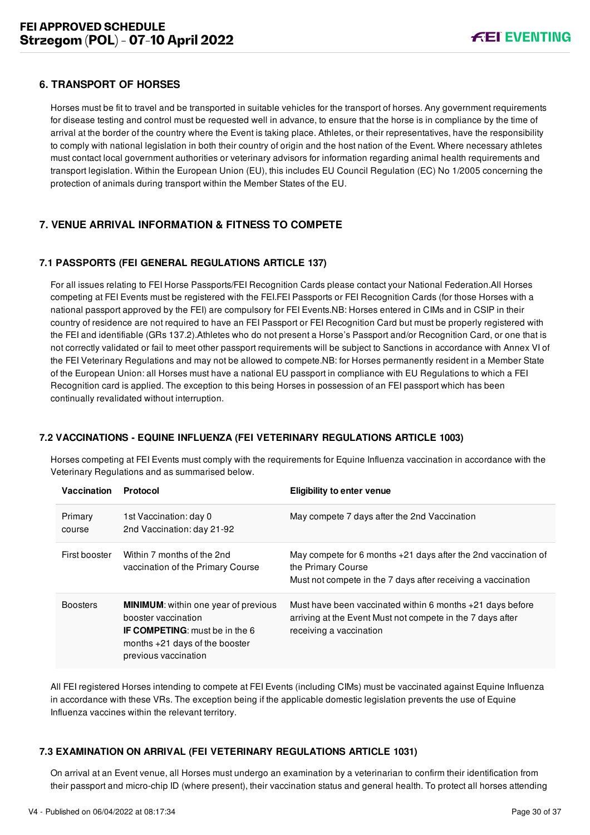## <span id="page-30-0"></span>**6. TRANSPORT OF HORSES**

Horses must be fit to travel and be transported in suitable vehicles for the transport of horses. Any government requirements for disease testing and control must be requested well in advance, to ensure that the horse is in compliance by the time of arrival at the border of the country where the Event is taking place. Athletes, or their representatives, have the responsibility to comply with national legislation in both their country of origin and the host nation of the Event. Where necessary athletes must contact local government authorities or veterinary advisors for information regarding animal health requirements and transport legislation. Within the European Union (EU), this includes EU Council Regulation (EC) No 1/2005 concerning the protection of animals during transport within the Member States of the EU.

## <span id="page-30-1"></span>**7. VENUE ARRIVAL INFORMATION & FITNESS TO COMPETE**

## <span id="page-30-2"></span>**7.1 PASSPORTS (FEI GENERAL REGULATIONS ARTICLE 137)**

For all issues relating to FEI Horse Passports/FEI Recognition Cards please contact your National Federation.All Horses competing at FEI Events must be registered with the FEI.FEI Passports or FEI Recognition Cards (for those Horses with a national passport approved by the FEI) are compulsory for FEI Events.NB: Horses entered in CIMs and in CSIP in their country of residence are not required to have an FEI Passport or FEI Recognition Card but must be properly registered with the FEI and identifiable (GRs 137.2).Athletes who do not present a Horse's Passport and/or Recognition Card, or one that is not correctly validated or fail to meet other passport requirements will be subject to Sanctions in accordance with Annex VI of the FEI Veterinary Regulations and may not be allowed to compete.NB: for Horses permanently resident in a Member State of the European Union: all Horses must have a national EU passport in compliance with EU Regulations to which a FEI Recognition card is applied. The exception to this being Horses in possession of an FEI passport which has been continually revalidated without interruption.

#### <span id="page-30-3"></span>**7.2 VACCINATIONS - EQUINE INFLUENZA (FEI VETERINARY REGULATIONS ARTICLE 1003)**

Horses competing at FEI Events must comply with the requirements for Equine Influenza vaccination in accordance with the Veterinary Regulations and as summarised below.

| Vaccination       | Protocol                                                                                                                                                                | <b>Eligibility to enter venue</b>                                                                                                                      |
|-------------------|-------------------------------------------------------------------------------------------------------------------------------------------------------------------------|--------------------------------------------------------------------------------------------------------------------------------------------------------|
| Primary<br>course | 1st Vaccination: day 0<br>2nd Vaccination: day 21-92                                                                                                                    | May compete 7 days after the 2nd Vaccination                                                                                                           |
| First booster     | Within 7 months of the 2nd<br>vaccination of the Primary Course                                                                                                         | May compete for 6 months $+21$ days after the 2nd vaccination of<br>the Primary Course<br>Must not compete in the 7 days after receiving a vaccination |
| <b>Boosters</b>   | <b>MINIMUM:</b> within one year of previous<br>booster vaccination<br><b>IF COMPETING:</b> must be in the 6<br>months $+21$ days of the booster<br>previous vaccination | Must have been vaccinated within 6 months $+21$ days before<br>arriving at the Event Must not compete in the 7 days after<br>receiving a vaccination   |

All FEI registered Horses intending to compete at FEI Events (including CIMs) must be vaccinated against Equine Influenza in accordance with these VRs. The exception being if the applicable domestic legislation prevents the use of Equine Influenza vaccines within the relevant territory.

#### <span id="page-30-4"></span>**7.3 EXAMINATION ON ARRIVAL (FEI VETERINARY REGULATIONS ARTICLE 1031)**

On arrival at an Event venue, all Horses must undergo an examination by a veterinarian to confirm their identification from their passport and micro-chip ID (where present), their vaccination status and general health. To protect all horses attending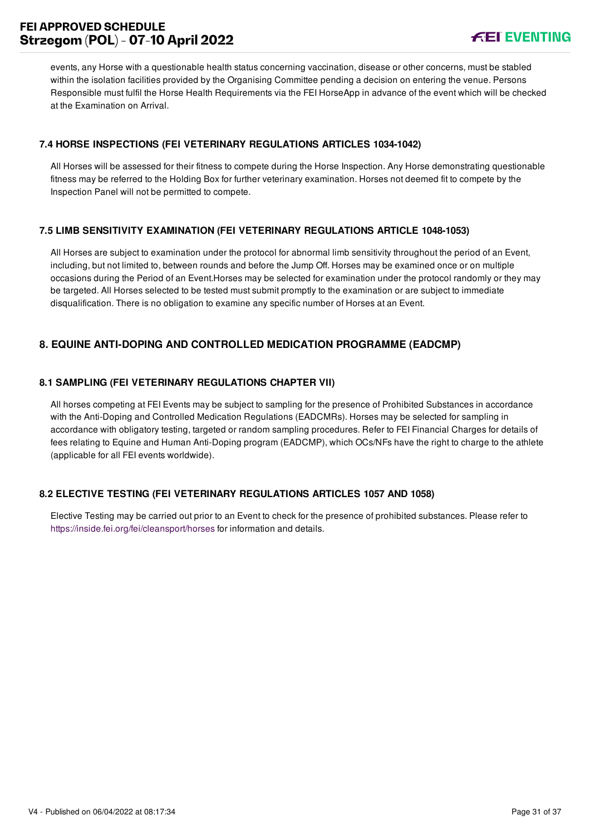## **FEI APPROVED SCHEDULE Strzegom (POL) - 07-10 April 2022**



events, any Horse with a questionable health status concerning vaccination, disease or other concerns, must be stabled within the isolation facilities provided by the Organising Committee pending a decision on entering the venue. Persons Responsible must fulfil the Horse Health Requirements via the FEI HorseApp in advance of the event which will be checked at the Examination on Arrival.

## <span id="page-31-0"></span>**7.4 HORSE INSPECTIONS (FEI VETERINARY REGULATIONS ARTICLES 1034-1042)**

All Horses will be assessed for their fitness to compete during the Horse Inspection. Any Horse demonstrating questionable fitness may be referred to the Holding Box for further veterinary examination. Horses not deemed fit to compete by the Inspection Panel will not be permitted to compete.

## <span id="page-31-1"></span>**7.5 LIMB SENSITIVITY EXAMINATION (FEI VETERINARY REGULATIONS ARTICLE 1048-1053)**

All Horses are subject to examination under the protocol for abnormal limb sensitivity throughout the period of an Event, including, but not limited to, between rounds and before the Jump Off. Horses may be examined once or on multiple occasions during the Period of an Event.Horses may be selected for examination under the protocol randomly or they may be targeted. All Horses selected to be tested must submit promptly to the examination or are subject to immediate disqualification. There is no obligation to examine any specific number of Horses at an Event.

## <span id="page-31-2"></span>**8. EQUINE ANTI-DOPING AND CONTROLLED MEDICATION PROGRAMME (EADCMP)**

## <span id="page-31-3"></span>**8.1 SAMPLING (FEI VETERINARY REGULATIONS CHAPTER VII)**

All horses competing at FEI Events may be subject to sampling for the presence of Prohibited Substances in accordance with the Anti-Doping and Controlled Medication Regulations (EADCMRs). Horses may be selected for sampling in accordance with obligatory testing, targeted or random sampling procedures. Refer to FEI Financial Charges for details of fees relating to Equine and Human Anti-Doping program (EADCMP), which OCs/NFs have the right to charge to the athlete (applicable for all FEI events worldwide).

#### <span id="page-31-4"></span>**8.2 ELECTIVE TESTING (FEI VETERINARY REGULATIONS ARTICLES 1057 AND 1058)**

Elective Testing may be carried out prior to an Event to check for the presence of prohibited substances. Please refer to <https://inside.fei.org/fei/cleansport/horses>for information and details.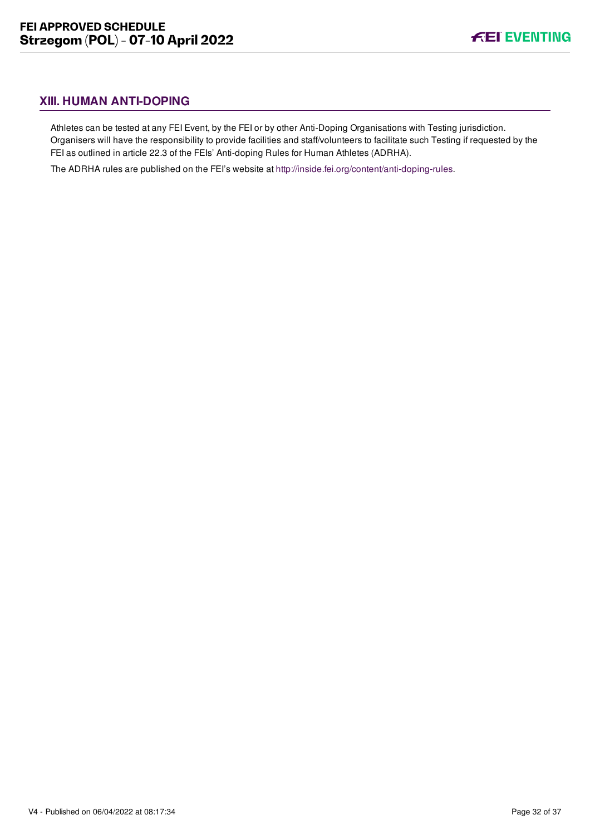## <span id="page-32-0"></span>**XIII. HUMAN ANTI-DOPING**

Athletes can be tested at any FEI Event, by the FEI or by other Anti-Doping Organisations with Testing jurisdiction. Organisers will have the responsibility to provide facilities and staff/volunteers to facilitate such Testing if requested by the FEI as outlined in article 22.3 of the FEIs' Anti-doping Rules for Human Athletes (ADRHA).

The ADRHA rules are published on the FEI's website at [http://inside.fei.org/content/anti-doping-rules.](http://inside.fei.org/content/anti-doping-rules)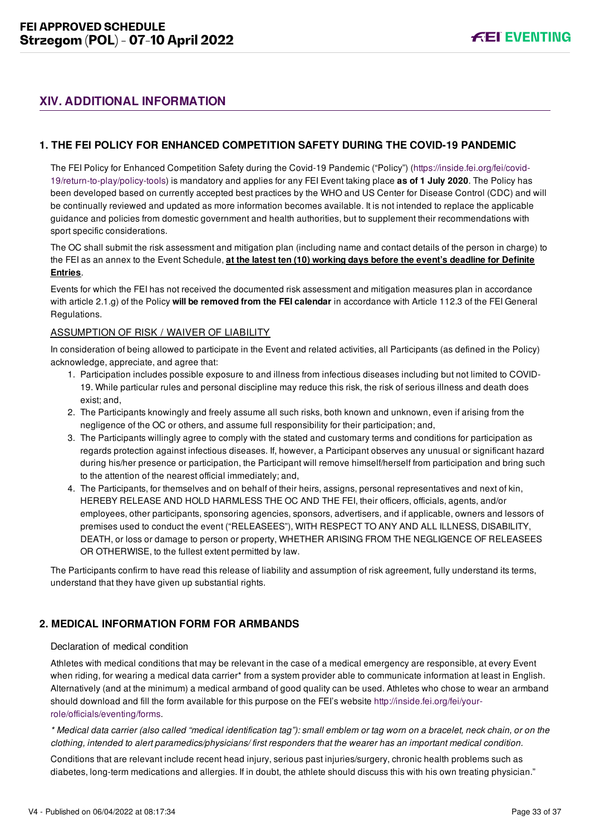## <span id="page-33-0"></span>**XIV. ADDITIONAL INFORMATION**

## <span id="page-33-1"></span>**1. THE FEI POLICY FOR ENHANCED COMPETITION SAFETY DURING THE COVID-19 PANDEMIC**

[The FEI Policy for Enhanced Competition Safety during the Covid-19 Pandemic \("Policy"\) \(https://inside.fei.org/fei/covid-](https://inside.fei.org/fei/covid-19/return-to-play/policy-tools)19/return-to-play/policy-tools) is mandatory and applies for any FEI Event taking place **as of 1 July 2020**. The Policy has been developed based on currently accepted best practices by the WHO and US Center for Disease Control (CDC) and will be continually reviewed and updated as more information becomes available. It is not intended to replace the applicable guidance and policies from domestic government and health authorities, but to supplement their recommendations with sport specific considerations.

The OC shall submit the risk assessment and mitigation plan (including name and contact details of the person in charge) to the FEI as an annex to the Event Schedule, **at the latest ten (10) working days before the event's deadline for Definite Entries**.

Events for which the FEI has not received the documented risk assessment and mitigation measures plan in accordance with article 2.1.g) of the Policy **will be removed from the FEI calendar** in accordance with Article 112.3 of the FEI General Regulations.

## ASSUMPTION OF RISK / WAIVER OF LIABILITY

In consideration of being allowed to participate in the Event and related activities, all Participants (as defined in the Policy) acknowledge, appreciate, and agree that:

- 1. Participation includes possible exposure to and illness from infectious diseases including but not limited to COVID-19. While particular rules and personal discipline may reduce this risk, the risk of serious illness and death does exist; and,
- 2. The Participants knowingly and freely assume all such risks, both known and unknown, even if arising from the negligence of the OC or others, and assume full responsibility for their participation; and,
- 3. The Participants willingly agree to comply with the stated and customary terms and conditions for participation as regards protection against infectious diseases. If, however, a Participant observes any unusual or significant hazard during his/her presence or participation, the Participant will remove himself/herself from participation and bring such to the attention of the nearest official immediately; and,
- 4. The Participants, for themselves and on behalf of their heirs, assigns, personal representatives and next of kin, HEREBY RELEASE AND HOLD HARMLESS THE OC AND THE FEI, their officers, officials, agents, and/or employees, other participants, sponsoring agencies, sponsors, advertisers, and if applicable, owners and lessors of premises used to conduct the event ("RELEASEES"), WITH RESPECT TO ANY AND ALL ILLNESS, DISABILITY, DEATH, or loss or damage to person or property, WHETHER ARISING FROM THE NEGLIGENCE OF RELEASEES OR OTHERWISE, to the fullest extent permitted by law.

The Participants confirm to have read this release of liability and assumption of risk agreement, fully understand its terms, understand that they have given up substantial rights.

## <span id="page-33-2"></span>**2. MEDICAL INFORMATION FORM FOR ARMBANDS**

## Declaration of medical condition

Athletes with medical conditions that may be relevant in the case of a medical emergency are responsible, at every Event when riding, for wearing a medical data carrier\* from a system provider able to communicate information at least in English. Alternatively (and at the minimum) a medical armband of good quality can be used. Athletes who chose to wear an armband [should download and fill the form available for this purpose on the FEI's website http://inside.fei.org/fei/your](http://inside.fei.org/fei/your-role/officials/eventing/forms)role/officials/eventing/forms.

*\* Medical data carrier (also called "medical identification tag"): small emblem or tag worn on a bracelet, neck chain, or on the clothing, intended to alert paramedics/physicians/ first responders that the wearer has an important medical condition.*

Conditions that are relevant include recent head injury, serious past injuries/surgery, chronic health problems such as diabetes, long-term medications and allergies. If in doubt, the athlete should discuss this with his own treating physician."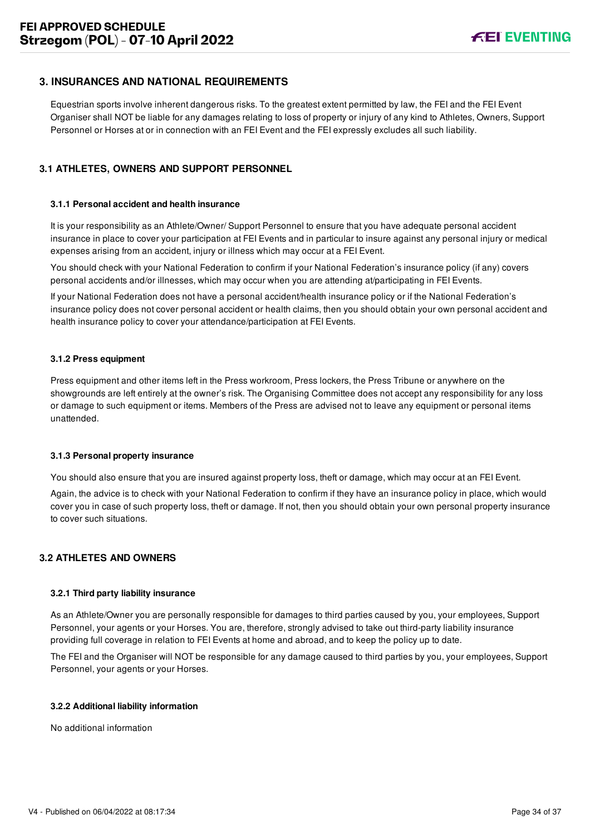## <span id="page-34-0"></span>**3. INSURANCES AND NATIONAL REQUIREMENTS**

Equestrian sports involve inherent dangerous risks. To the greatest extent permitted by law, the FEI and the FEI Event Organiser shall NOT be liable for any damages relating to loss of property or injury of any kind to Athletes, Owners, Support Personnel or Horses at or in connection with an FEI Event and the FEI expressly excludes all such liability.

## <span id="page-34-1"></span>**3.1 ATHLETES, OWNERS AND SUPPORT PERSONNEL**

#### **3.1.1 Personal accident and health insurance**

It is your responsibility as an Athlete/Owner/ Support Personnel to ensure that you have adequate personal accident insurance in place to cover your participation at FEI Events and in particular to insure against any personal injury or medical expenses arising from an accident, injury or illness which may occur at a FEI Event.

You should check with your National Federation to confirm if your National Federation's insurance policy (if any) covers personal accidents and/or illnesses, which may occur when you are attending at/participating in FEI Events.

If your National Federation does not have a personal accident/health insurance policy or if the National Federation's insurance policy does not cover personal accident or health claims, then you should obtain your own personal accident and health insurance policy to cover your attendance/participation at FEI Events.

#### **3.1.2 Press equipment**

Press equipment and other items left in the Press workroom, Press lockers, the Press Tribune or anywhere on the showgrounds are left entirely at the owner's risk. The Organising Committee does not accept any responsibility for any loss or damage to such equipment or items. Members of the Press are advised not to leave any equipment or personal items unattended.

#### **3.1.3 Personal property insurance**

You should also ensure that you are insured against property loss, theft or damage, which may occur at an FEI Event.

Again, the advice is to check with your National Federation to confirm if they have an insurance policy in place, which would cover you in case of such property loss, theft or damage. If not, then you should obtain your own personal property insurance to cover such situations.

#### <span id="page-34-2"></span>**3.2 ATHLETES AND OWNERS**

#### **3.2.1 Third party liability insurance**

As an Athlete/Owner you are personally responsible for damages to third parties caused by you, your employees, Support Personnel, your agents or your Horses. You are, therefore, strongly advised to take out third-party liability insurance providing full coverage in relation to FEI Events at home and abroad, and to keep the policy up to date.

The FEI and the Organiser will NOT be responsible for any damage caused to third parties by you, your employees, Support Personnel, your agents or your Horses.

#### **3.2.2 Additional liability information**

No additional information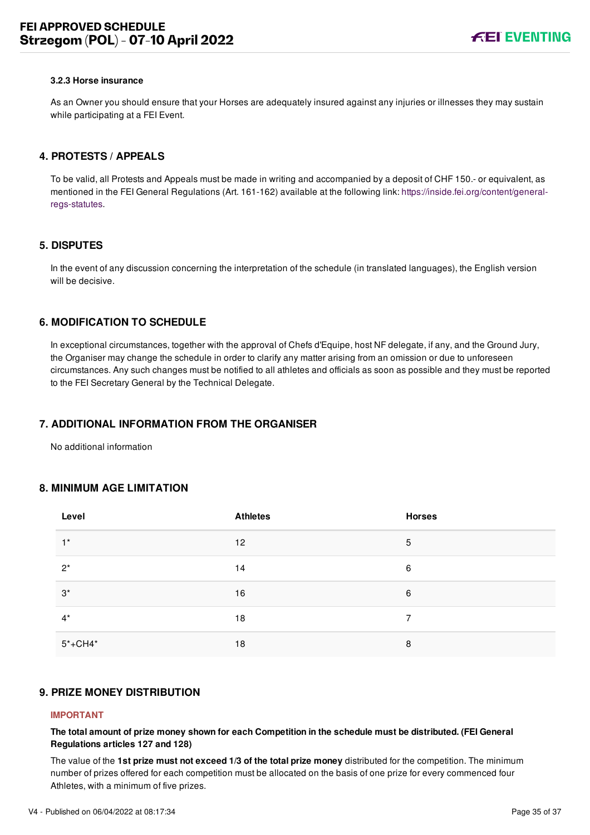#### **3.2.3 Horse insurance**

As an Owner you should ensure that your Horses are adequately insured against any injuries or illnesses they may sustain while participating at a FEI Event.

#### <span id="page-35-0"></span>**4. PROTESTS / APPEALS**

To be valid, all Protests and Appeals must be made in writing and accompanied by a deposit of CHF 150.- or equivalent, as [mentioned in the FEI General Regulations \(Art. 161-162\) available at the following link: https://inside.fei.org/content/general](https://inside.fei.org/content/general-regs-statutes)regs-statutes.

#### <span id="page-35-1"></span>**5. DISPUTES**

In the event of any discussion concerning the interpretation of the schedule (in translated languages), the English version will be decisive.

## <span id="page-35-2"></span>**6. MODIFICATION TO SCHEDULE**

In exceptional circumstances, together with the approval of Chefs d'Equipe, host NF delegate, if any, and the Ground Jury, the Organiser may change the schedule in order to clarify any matter arising from an omission or due to unforeseen circumstances. Any such changes must be notified to all athletes and officials as soon as possible and they must be reported to the FEI Secretary General by the Technical Delegate.

#### <span id="page-35-3"></span>**7. ADDITIONAL INFORMATION FROM THE ORGANISER**

No additional information

#### <span id="page-35-4"></span>**8. MINIMUM AGE LIMITATION**

| Level       | <b>Athletes</b> | <b>Horses</b> |
|-------------|-----------------|---------------|
| $1^*$       | 12              | 5             |
| $2^*$       | 14              | 6             |
| $3^*$       | 16              | 6             |
| $4^*$       | 18              | 7             |
| $5* + CH4*$ | 18              | 8             |

## <span id="page-35-5"></span>**9. PRIZE MONEY DISTRIBUTION**

#### **IMPORTANT**

**The total amount of prize money shown for each Competition in the schedule must be distributed. (FEI General Regulations articles 127 and 128)**

The value of the **1st prize must not exceed 1/3 of the total prize money** distributed for the competition. The minimum number of prizes offered for each competition must be allocated on the basis of one prize for every commenced four Athletes, with a minimum of five prizes.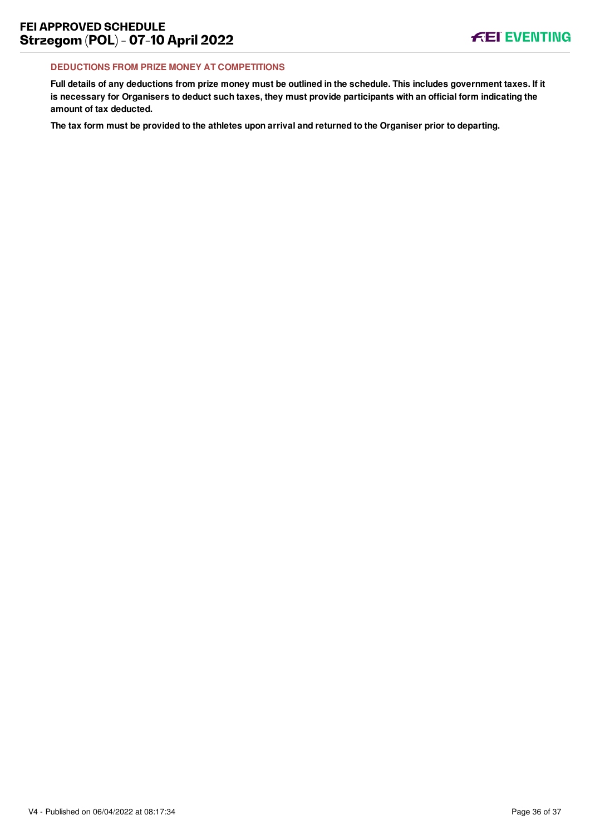#### **DEDUCTIONS FROM PRIZE MONEY AT COMPETITIONS**

**Full details of any deductions from prize money must be outlined in the schedule. This includes government taxes. If it is necessary for Organisers to deduct such taxes, they must provide participants with an official form indicating the amount of tax deducted.**

**The tax form must be provided to the athletes upon arrival and returned to the Organiser prior to departing.**